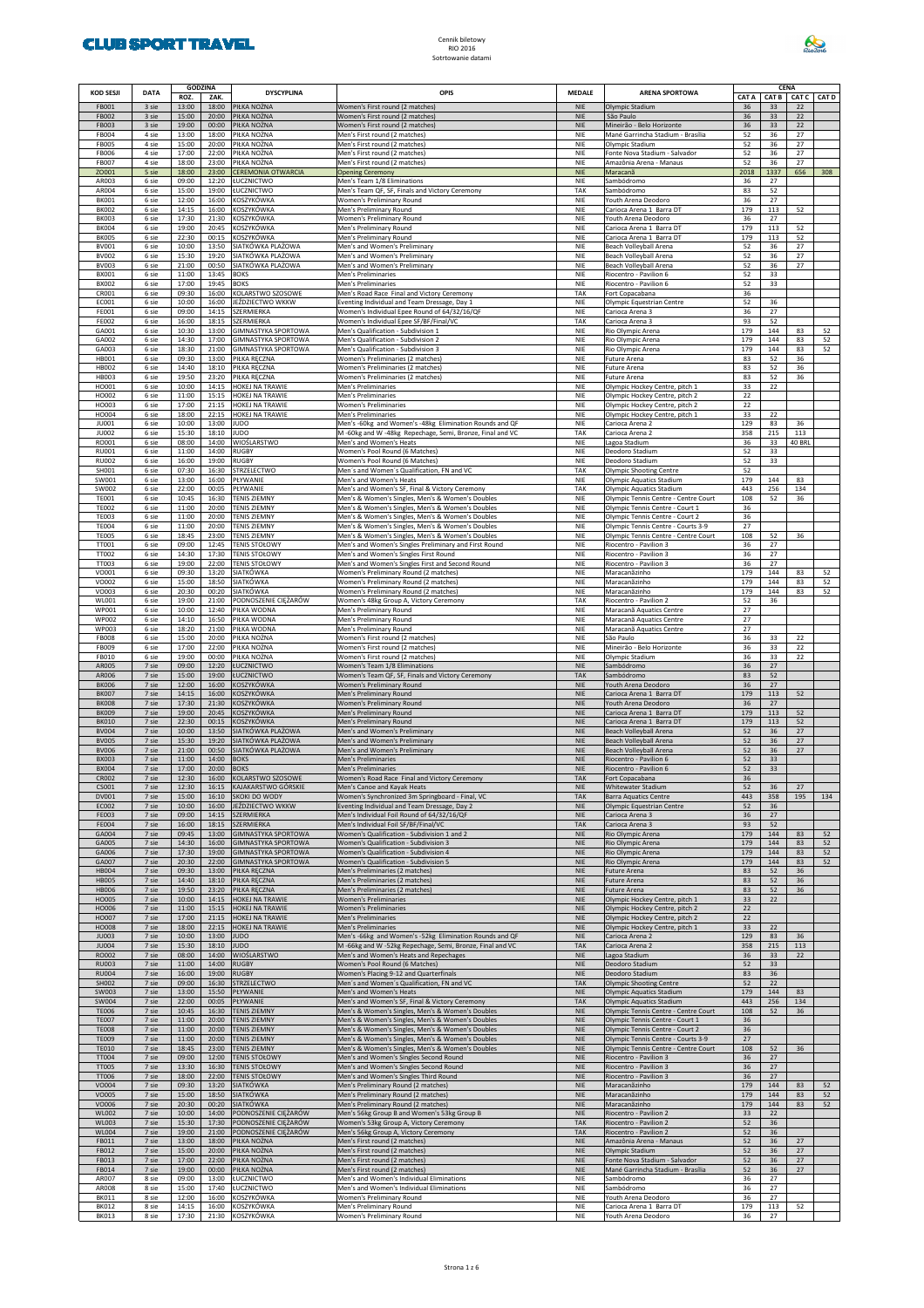

| KOD SESJI                    | <b>DATA</b>    | <b>GODZINA</b><br>ROZ.<br>ZAK.   | <b>DYSCYPLINA</b>                                        | <b>OPIS</b>                                                                                               | <b>MEDALE</b>            | <b>ARENA SPORTOWA</b>                                                 | CAT A      |            | CENA<br>CAT B CAT C | <b>CAT D</b> |
|------------------------------|----------------|----------------------------------|----------------------------------------------------------|-----------------------------------------------------------------------------------------------------------|--------------------------|-----------------------------------------------------------------------|------------|------------|---------------------|--------------|
| FB001<br><b>FB002</b>        | 3 sie<br>3 sie | 13:00<br>18:00<br>15:00<br>20:00 | PIŁKA NOŻNA<br>PIŁKA NOŻNA                               | Women's First round (2 matches)<br>Women's First round (2 matches)                                        | <b>NIE</b><br><b>NIE</b> | Olympic Stadium<br>São Paulo                                          | 36<br>36   | 33<br>33   | 22<br>22            |              |
| <b>FB003</b>                 | 3 sie          | 19:00<br>00:00                   | PIŁKA NOŻNA                                              | Women's First round (2 matches)                                                                           | <b>NIE</b>               | Mineirão - Belo Horizonte                                             | 36         | 33         | 22                  |              |
| <b>FB004</b><br><b>FB005</b> | 4 sie<br>4 sie | 13:00<br>18:00<br>15:00<br>20:00 | PIŁKA NOŻNA<br>PIŁKA NOŻNA                               | Men's First round (2 matches)<br>Ven's First round (2 matches)                                            | NIE<br>NIE               | Mané Garrincha Stadium - Brasília<br>Olympic Stadium                  | 52<br>52   | 36<br>36   | 27<br>27            |              |
| <b>FB006</b><br><b>FB007</b> | 4 sie<br>4 sie | 17:00<br>22:00<br>18:00<br>23:00 | PIŁKA NOŻNA<br>PIŁKA NOŻNA                               | Men's First round (2 matches)<br>Men's First round (2 matches)                                            | NIE<br>NIE               | Fonte Nova Stadium - Salvador<br>Amazônia Arena - Manaus              | 52<br>52   | 36<br>36   | 27<br>27            |              |
| ZO001                        | 5 sie          | 18:00<br>23:00                   | <b>CEREMONIA OTWARCIA</b>                                | <b>Opening Ceremony</b>                                                                                   | <b>NIE</b>               | Maracanã                                                              | 2018       | 1337       | 656                 | 308          |
| AR003<br>AR004               | 6 sie<br>6 sie | 09:00<br>12:20<br>15:00<br>19:00 | ŁUCZNICTWO<br><b>ŁUCZNICTWO</b>                          | Men's Team 1/8 Eliminations<br>Men's Team QF, SF, Finals and Victory Ceremony                             | NIE<br>TAK               | Sambódromo<br>Sambódromo                                              | 36<br>83   | 27<br>52   |                     |              |
| <b>BK001</b><br><b>BK002</b> | 6 sie<br>6 sie | 12:00<br>16:00<br>14:15<br>16:00 | KOSZYKÓWKA<br>KOSZYKÓWKA                                 | Women's Preliminary Round<br>Men's Preliminary Round                                                      | NIE<br>NIE               | Youth Arena Deodoro<br>Carioca Arena 1 Barra DT                       | 36<br>179  | 27<br>113  | 52                  |              |
| <b>BK003</b>                 | 6 sie          | 17:30<br>21:30                   | KOSZYKÓWKA                                               | Women's Preliminary Round                                                                                 | NIE                      | Youth Arena Deodoro                                                   | 36         | 27         |                     |              |
| <b>BK004</b><br><b>BK005</b> | 6 sie<br>6 sie | 19:00<br>20:45<br>22:30          | KOSZYKÓWKA<br>00:15 KOSZYKÓWKA                           | Men's Preliminary Round<br>Men's Preliminary Round                                                        | NIE<br>NIE               | Carioca Arena 1 Barra DT<br>Carioca Arena 1 Barra DT                  | 179<br>179 | 113<br>113 | 52<br>52            |              |
| BV001<br><b>BV002</b>        | 6 sie<br>6 sie | 10:00<br>13:50<br>15:30<br>19:20 | SIATKÓWKA PLAŻOWA<br>SIATKÓWKA PLAŻOWA                   | Men's and Women's Preliminary<br>Men's and Women's Preliminary                                            | NIE<br>NIE               | Beach Volleyball Arena<br>Beach Volleyball Arena                      | 52<br>52   | 36<br>36   | 27<br>27            |              |
| <b>BV003</b>                 | 6 sie          | 21:00<br>00:50                   | SIATKÓWKA PLAŻOWA                                        | Men's and Women's Preliminary                                                                             | NIE                      | Beach Volleyball Arena                                                | 52         | 36         | 27                  |              |
| BX001<br><b>BX002</b>        | 6 sie<br>6 sie | 11:00<br>13:45<br>17:00<br>19:45 | <b>BOKS</b><br><b>BOKS</b>                               | Men's Preliminaries<br>Men's Preliminaries                                                                | NIE<br>NIE               | Riocentro - Pavilion 6<br>Riocentro - Pavilion 6                      | 52<br>52   | 33<br>33   |                     |              |
| CR001<br>EC001               | 6 sie<br>6 sie | 09:30<br>16:00<br>10:00<br>16:00 | KOLARSTWO SZOSOWE<br>JEŹDZIECTWO WKKW                    | Men's Road Race Final and Victory Ceremony<br>Eventing Individual and Team Dressage, Day 1                | TAK<br>NIE               | Fort Copacabana<br>Olympic Equestrian Centre                          | 36<br>52   | 36         |                     |              |
| FE001                        | 6 sie          | 09:00<br>14:15                   | SZERMIERKA                                               | Women's Individual Epee Round of 64/32/16/QF                                                              | NIE                      | Carioca Arena 3                                                       | 36         | 27         |                     |              |
| <b>FE002</b><br>GA001        | 6 sie<br>6 sie | 16:00<br>18:15<br>10:30<br>13:00 | SZERMIERKA<br><b>GIMNASTYKA SPORTOWA</b>                 | Women's Individual Epee SF/BF/Final/VC<br>Men's Qualification - Subdivision 1                             | TAK<br>NIE               | Carioca Arena 3<br>Rio Olympic Arena                                  | 93<br>179  | 52<br>144  | 83                  | 52           |
| GA002<br>GA003               | 6 sie<br>6 sie | 14:30<br>17:00<br>18:30<br>21:00 | <b>GIMNASTYKA SPORTOWA</b><br><b>GIMNASTYKA SPORTOWA</b> | Men's Qualification - Subdivision 2<br>Men's Qualification - Subdivision 3                                | NIE<br>NIE               | Rio Olympic Arena<br>Rio Olympic Arena                                | 179<br>179 | 144<br>144 | 83<br>83            | 52<br>52     |
| HB001                        | 6 sie          | 09:30<br>13:00                   | PIŁKA RĘCZNA                                             | Women's Preliminaries (2 matches)                                                                         | NIE                      | Future Arena                                                          | 83         | 52         | 36                  |              |
| <b>HB002</b><br><b>HB003</b> | 6 sie<br>6 sie | 14:40<br>19:50<br>23:20          | 18:10 PIŁKA RĘCZNA<br>PIŁKA RĘCZNA                       | Women's Preliminaries (2 matches)<br>Women's Preliminaries (2 matches)                                    | NIE<br>NIE               | Future Arena<br>Future Arena                                          | 83<br>83   | 52<br>52   | 36<br>36            |              |
| HO001<br>HO002               | 6 sie<br>6 sie | 10:00<br>14:15<br>11:00<br>15:15 | HOKEJ NA TRAWIE<br>HOKEJ NA TRAWIE                       | Men's Preliminaries<br>Men's Preliminaries                                                                | NIE<br>NIE               | Olympic Hockey Centre, pitch 1                                        | 33<br>22   | 22         |                     |              |
| HO003                        | 6 sie          | 17:00<br>21:15                   | <b>HOKEJ NA TRAWIE</b>                                   | <b>Women's Preliminaries</b>                                                                              | NIE                      | Olympic Hockey Centre, pitch 2<br>Olympic Hockey Centre, pitch 2      | 22         |            |                     |              |
| HO004<br>JU001               | 6 sie<br>6 sie | 18:00<br>22:15<br>10:00<br>13:00 | HOKEJ NA TRAWIE<br><b>JUDO</b>                           | Men's Preliminaries<br>Men's -60kg and Women's -48kg Elimination Rounds and QF                            | NIE<br>NIE               | Olympic Hockey Centre, pitch 1<br>Carioca Arena 2                     | 33<br>129  | 22<br>83   | 36                  |              |
| JU002                        | 6 sie          | 15:30<br>18:10                   | <b>JUDO</b>                                              | M-60kg and W-48kg Repechage, Semi, Bronze, Final and VC                                                   | TAK                      | Carioca Arena 2                                                       | 358        | 215        | 113                 |              |
| RO001<br><b>RU001</b>        | 6 sie<br>6 sie | 08:00<br>14:00<br>11:00<br>14:00 | WIOŚLARSTWO<br><b>RUGBY</b>                              | Men's and Women's Heats<br>Women's Pool Round (6 Matches)                                                 | NIE<br>NIE               | Lagoa Stadium<br>Deodoro Stadium                                      | 36<br>52   | 33<br>33   | 40 BRL              |              |
| <b>RU002</b><br>SH001        | 6 sie<br>6 sie | 16:00<br>19:00<br>07:30<br>16:30 | <b>RUGBY</b><br><b>STRZELECTWO</b>                       | Women's Pool Round (6 Matches)<br>Men's and Women's Qualification, FN and VC                              | NIE<br>TAK               | Deodoro Stadium<br><b>Olympic Shooting Centre</b>                     | 52<br>52   | 33         |                     |              |
| SW001                        | 6 sie          | 13:00<br>16:00                   | PŁYWANIE                                                 | Men's and Women's Heats                                                                                   | NIE                      | Olympic Aquatics Stadium                                              | 179        | 144        | 83                  |              |
| SW002<br><b>TE001</b>        | 6 sie<br>6 sie | 22:00<br>00:05<br>10:45<br>16:30 | PŁYWANIE<br><b>TENIS ZIEMNY</b>                          | Men's and Women's SF, Final & Victory Ceremony<br>Men's & Women's Singles, Men's & Women's Doubles        | TAK<br>NIE               | Olympic Aquatics Stadium<br>Olympic Tennis Centre - Centre Court      | 443<br>108 | 256<br>52  | 134<br>36           |              |
| <b>TE002</b><br><b>TE003</b> | 6 sie<br>6 sie | 11:00<br>20:00<br>11:00<br>20:00 | <b>TENIS ZIEMNY</b><br><b>TENIS ZIEMNY</b>               | Men's & Women's Singles, Men's & Women's Doubles<br>Men's & Women's Singles, Men's & Women's Doubles      | NIE<br>NIE               | Olympic Tennis Centre - Court 1<br>Olympic Tennis Centre - Court 2    | 36<br>36   |            |                     |              |
| <b>TE004</b>                 | 6 sie          | 11:00<br>20:00                   | <b>TENIS ZIEMNY</b>                                      | Men's & Women's Singles, Men's & Women's Doubles                                                          | NIE                      | Olympic Tennis Centre - Courts 3-9                                    | 27         |            |                     |              |
| <b>TE005</b><br>TT001        | 6 sie<br>6 sie | 18:45<br>23:00<br>09:00<br>12:45 | <b>TENIS ZIEMNY</b><br><b>TENIS STOŁOWY</b>              | Men's & Women's Singles, Men's & Women's Doubles<br>Men's and Women's Singles Preliminary and First Round | NIE<br>NIE               | Olympic Tennis Centre - Centre Court<br>Riocentro - Pavilion 3        | 108<br>36  | 52<br>27   | 36                  |              |
| TT002                        | 6 sie          | 14:30<br>17:30                   | <b>TENIS STOŁOWY</b>                                     | Men's and Women's Singles First Round                                                                     | NIE                      | Riocentro - Pavilion 3                                                | 36         | 27         |                     |              |
| TT003<br>VO001               | 6 sie<br>6 sie | 19:00<br>22:00<br>09:30<br>13:20 | <b>TENIS STOŁOWY</b><br>SIATKÓWKA                        | Men's and Women's Singles First and Second Round<br>Women's Preliminary Round (2 matches)                 | NIE<br>NIE               | Riocentro - Pavilion 3<br>Maracanãzinho                               | 36<br>179  | 27<br>144  | 83                  | 52           |
| VO002<br>VO003               | 6 sie<br>6 sie | 15:00<br>18:50<br>20:30<br>00:20 | SIATKÓWKA<br>SIATKÓWKA                                   | Women's Preliminary Round (2 matches)<br>Women's Preliminary Round (2 matches)                            | NIE<br>NIE               | Maracanãzinho<br>Maracanãzinho                                        | 179<br>179 | 144<br>144 | 83<br>83            | 52<br>52     |
| WL001                        | 6 sie          | 19:00<br>21:00                   | PODNOSZENIE CIĘŻARÓW                                     | Women's 48kg Group A, Victory Ceremony                                                                    | TAK                      | Riocentro - Pavilion 2                                                | 52         | 36         |                     |              |
| WP001<br><b>WP002</b>        | 6 sie<br>6 sie | 10:00<br>12:40<br>14:10<br>16:50 | PIŁKA WODNA<br>PIŁKA WODNA                               | Men's Preliminary Round<br>Men's Preliminary Round                                                        | NIE<br>NIE               | Maracanã Aquatics Centre<br>Maracanã Aquatics Centre                  | 27<br>27   |            |                     |              |
| <b>WP003</b><br><b>FB008</b> | 6 sie<br>6 sie | 18:20<br>21:00<br>15:00<br>20:00 | PIŁKA WODNA<br>PIŁKA NOŻNA                               | Men's Preliminary Round<br>Women's First round (2 matches)                                                | NIE<br>NIE               | Maracanã Aquatics Centre<br>São Paulo                                 | 27<br>36   | 33         | 22                  |              |
| FB009                        | 6 sie          | 17:00<br>22:00                   | PIŁKA NOŻNA                                              | Women's First round (2 matches)                                                                           | NIE                      | Mineirão - Belo Horizonte                                             | 36         | 33         | 22                  |              |
| FB010<br>AR005               | 6 sie<br>7 sie | 19:00<br>00:00<br>09:00<br>12:20 | PIŁKA NOŻNA<br>ŁUCZNICTWO                                | Women's First round (2 matches)<br>Women's Team 1/8 Eliminations                                          | NIE<br><b>NIE</b>        | Olympic Stadium<br>Sambódromo                                         | 36<br>36   | 33<br>27   | 22                  |              |
| AR006<br><b>BK006</b>        | 7 sie<br>7 sie | 15:00<br>19:00<br>12:00<br>16:00 | ŁUCZNICTWO<br>KOSZYKÓWKA                                 | Women's Team QF, SF, Finals and Victory Ceremony<br>Women's Preliminary Round                             | <b>TAK</b><br><b>NIE</b> | Sambódromo<br>Youth Arena Deodoro                                     | 83<br>36   | 52<br>27   |                     |              |
| <b>BK007</b>                 | 7 sie          | 14:15<br>16:00                   | KOSZYKÓWKA                                               | Men's Preliminary Round                                                                                   | <b>NIE</b>               | Carioca Arena 1 Barra DT                                              | 179        | 113        | 52                  |              |
| <b>BK008</b><br><b>BK009</b> | 7 sie<br>7 sie | 17:30<br>21:30<br>19:00<br>20:45 | KOSZYKÓWKA<br>KOSZYKÓWKA                                 | Women's Preliminary Round<br>Men's Preliminary Round                                                      | <b>NIE</b><br><b>NIE</b> | Youth Arena Deodoro<br>Carioca Arena 1 Barra DT                       | 36<br>179  | 27<br>113  | 52                  |              |
| <b>BK010</b><br><b>BV004</b> | 7 sie<br>7 sie | 22:30<br>00:15<br>10:00<br>13:50 | KOSZYKÓWKA<br>SIATKÓWKA PLAŻOWA                          | Men's Preliminary Round<br>Men's and Women's Preliminary                                                  | <b>NIE</b><br><b>NIE</b> | Carioca Arena 1 Barra DT<br>Beach Volleyball Arena                    | 179<br>52  | 113<br>36  | 52<br>27            |              |
| <b>BV005</b>                 | 7 sie          | 15:30<br>19:20                   | SIATKÓWKA PLAŻOWA                                        | Men's and Women's Preliminary                                                                             | <b>NIE</b>               | Beach Volleyball Arena                                                | 52         | 36         | 27                  |              |
| <b>BV006</b><br><b>BX003</b> | 7 sie<br>7 sie | 21:00<br>00:50<br>11:00<br>14:00 | SIATKÓWKA PLAŻOWA<br><b>BOKS</b>                         | Men's and Women's Preliminary<br>Men's Preliminaries                                                      | <b>NIE</b><br><b>NIE</b> | Beach Volleyball Arena<br>Riocentro - Pavilion 6                      | 52<br>52   | 36<br>33   | 27                  |              |
| <b>BX004</b><br><b>CR002</b> | 7 sie<br>7 sie | 17:00<br>20:00<br>12:30<br>16:00 | <b>BOKS</b><br>KOLARSTWO SZOSOWE                         | Men's Preliminaries<br>Women's Road Race Final and Victory Ceremony                                       | <b>NIE</b><br><b>TAK</b> | Riocentro - Pavilion 6<br>Fort Copacabana                             | 52<br>36   | 33         |                     |              |
| CS001                        | 7 sie          | 12:30<br>16:15                   | KAJAKARSTWO GÓRSKIE                                      | Men's Canoe and Kayak Heats                                                                               | <b>NIE</b>               | Whitewater Stadium                                                    | 52         | 36         | 27                  |              |
| DV001<br>EC002               | 7 sie<br>7 sie | 15:00<br>16:10<br>10:00<br>16:00 | SKOKI DO WODY<br>JEŹDZIECTWO WKKW                        | Women's Synchronized 3m Springboard - Final, VC<br>Eventing Individual and Team Dressage, Day 2           | <b>TAK</b><br><b>NIE</b> | <b>Barra Aquatics Centre</b><br>Olympic Equestrian Centre             | 443<br>52  | 358<br>36  | 195                 | 134          |
| <b>FE003</b><br><b>FE004</b> | 7 sie<br>7 sie | 09:00<br>14:15<br>16:00<br>18:15 | SZERMIERKA<br>SZERMIERKA                                 | Men's Individual Foil Round of 64/32/16/QF<br>Men's Individual Foil SF/BF/Final/VC                        | <b>NIE</b><br><b>TAK</b> | Carioca Arena 3<br>Carioca Arena 3                                    | 36<br>93   | 27<br>52   |                     |              |
| GA004                        | 7 sie          | 09:45<br>13:00                   | <b>GIMNASTYKA SPORTOWA</b>                               | Women's Qualification - Subdivision 1 and 2                                                               | <b>NIE</b>               | Rio Olympic Arena                                                     | 179        | 144        | 83                  | 52           |
| GA005<br>GA006               | 7 sie<br>7 sie | 14:30<br>16:00<br>17:30<br>19:00 | <b>GIMNASTYKA SPORTOWA</b><br><b>GIMNASTYKA SPORTOWA</b> | Women's Qualification - Subdivision 3<br>Women's Qualification - Subdivision 4                            | <b>NIE</b><br><b>NIE</b> | Rio Olympic Arena<br>Rio Olympic Arena                                | 179<br>179 | 144<br>144 | 83<br>83            | 52<br>52     |
| GA007<br><b>HB004</b>        | 7 sie<br>7 sie | 20:30<br>22:00<br>09:30<br>13:00 | <b>GIMNASTYKA SPORTOWA</b><br>PIŁKA RECZNA               | Women's Qualification - Subdivision 5<br>Men's Preliminaries (2 matches)                                  | <b>NIE</b><br><b>NIE</b> | Rio Olympic Arena<br>Future Arena                                     | 179<br>83  | 144<br>52  | 83<br>36            | 52           |
| <b>HB005</b>                 | 7 sie          | 14:40<br>18:10                   | PIŁKA RĘCZNA                                             | Men's Preliminaries (2 matches)                                                                           | <b>NIE</b>               | Future Arena                                                          | 83         | 52         | 36                  |              |
| <b>HB006</b><br><b>HO005</b> | 7 sie<br>7 sie | 19:50<br>23:20<br>10:00<br>14:15 | PIŁKA RĘCZNA<br>HOKEJ NA TRAWIE                          | Men's Preliminaries (2 matches)<br><b>Women's Preliminaries</b>                                           | <b>NIE</b><br><b>NIE</b> | Future Arena<br>Olympic Hockey Centre, pitch 1                        | 83<br>33   | 52<br>22   | 36                  |              |
| HO006<br>HO007               | 7 sie<br>7 sie | 11:00<br>15:15<br>17:00<br>21:15 | HOKEJ NA TRAWIE<br>HOKEJ NA TRAWIE                       | Women's Preliminaries<br>Men's Preliminaries                                                              | <b>NIE</b><br><b>NIE</b> | Olympic Hockey Centre, pitch 2<br>Olympic Hockey Centre, pitch 2      | 22<br>22   |            |                     |              |
| <b>HO008</b><br><b>JU003</b> | 7 sie<br>7 sie | 18:00<br>22:15<br>10:00<br>13:00 | HOKEJ NA TRAWIE<br><b>JUDO</b>                           | <b>Men's Preliminaries</b><br>Men's -66kg and Women's -52kg Elimination Rounds and QF                     | <b>NIE</b><br><b>NIE</b> | Olympic Hockey Centre, pitch 1<br>Carioca Arena 2                     | 33<br>129  | 22<br>83   | 36                  |              |
| <b>JU004</b>                 | 7 sie          | 15:30<br>18:10                   | <b>JUDO</b>                                              | M-66kg and W-52kg Repechage, Semi, Bronze, Final and VC                                                   | <b>TAK</b>               | Carioca Arena 2                                                       | 358        | 215        | 113                 |              |
| RO002<br><b>RU003</b>        | 7 sie<br>7 sie | 08:00<br>14:00<br>11:00<br>14:00 | WIOŚLARSTWO<br><b>RUGBY</b>                              | Men's and Women's Heats and Repechages<br>Women's Pool Round (6 Matches)                                  | <b>NIE</b><br><b>NIE</b> | Lagoa Stadium<br>Deodoro Stadium                                      | 36<br>52   | 33<br>33   | 22                  |              |
| <b>RU004</b>                 | 7 sie          | 16:00<br>19:00                   | <b>RUGBY</b>                                             | Women's Placing 9-12 and Quarterfinals                                                                    | <b>NIE</b>               | Deodoro Stadium                                                       | 83         | 36         |                     |              |
| SH002<br>SW003               | 7 sie<br>7 sie | 09:00<br>16:30<br>13:00<br>15:50 | STRZELECTWO<br>PŁYWANIE                                  | Men's and Women's Qualification, FN and VC<br>Men's and Women's Heats                                     | <b>TAK</b><br><b>NIE</b> | <b>Olympic Shooting Centre</b><br>Olympic Aquatics Stadium            | 52<br>179  | 22<br>144  | 83                  |              |
| SW004<br><b>TE006</b>        | 7 sie<br>7 sie | 22:00<br>00:05<br>10:45<br>16:30 | PŁYWANIE<br><b>TENIS ZIEMNY</b>                          | Men's and Women's SF, Final & Victory Ceremony<br>Men's & Women's Singles, Men's & Women's Doubles        | <b>TAK</b><br><b>NIE</b> | Olympic Aquatics Stadium<br>Olympic Tennis Centre - Centre Court      | 443<br>108 | 256<br>52  | 134<br>36           |              |
| <b>TE007</b>                 | 7 sie          | 11:00<br>20:00                   | <b>TENIS ZIEMNY</b>                                      | Men's & Women's Singles, Men's & Women's Doubles                                                          | <b>NIE</b>               | Olympic Tennis Centre - Court 1                                       | 36         |            |                     |              |
| <b>TE008</b><br><b>TE009</b> | 7 sie<br>7 sie | 11:00<br>20:00<br>11:00<br>20:00 | <b>TENIS ZIEMNY</b><br><b>TENIS ZIEMNY</b>               | Men's & Women's Singles, Men's & Women's Doubles<br>Men's & Women's Singles, Men's & Women's Doubles      | <b>NIE</b><br><b>NIE</b> | Olympic Tennis Centre - Court 2<br>Olympic Tennis Centre - Courts 3-9 | 36<br>27   |            |                     |              |
| <b>TE010</b><br>TT004        | 7 sie<br>7 sie | 18:45<br>23:00<br>09:00<br>12:00 | <b>TENIS ZIEMNY</b><br><b>TENIS STOŁOWY</b>              | Men's & Women's Singles, Men's & Women's Doubles<br>Men's and Women's Singles Second Round                | <b>NIE</b><br><b>NIE</b> | Olympic Tennis Centre - Centre Court<br>Riocentro - Pavilion 3        | 108<br>36  | 52<br>27   | 36                  |              |
| <b>TT005</b>                 | 7 sie          | 13:30<br>16:30                   | <b>TENIS STOŁOWY</b>                                     | Men's and Women's Singles Second Round                                                                    | <b>NIE</b>               | Riocentro - Pavilion 3                                                | 36         | 27         |                     |              |
| <b>TT006</b><br>VO004        | 7 sie<br>7 sie | 18:00<br>22:00<br>09:30<br>13:20 | <b>TENIS STOŁOWY</b><br><b>SIATKÓWKA</b>                 | Men's and Women's Singles Third Round<br>Men's Preliminary Round (2 matches)                              | <b>NIE</b><br><b>NIE</b> | Riocentro - Pavilion 3<br>Maracanãzinho                               | 36<br>179  | 27<br>144  | 83                  | 52           |
| <b>VO005</b><br>VO006        | 7 sie<br>7 sie | 15:00<br>18:50<br>20:30<br>00:20 | <b>SIATKÓWKA</b><br>SIATKÓWKA                            | Men's Preliminary Round (2 matches)<br>Men's Preliminary Round (2 matches)                                | <b>NIE</b><br><b>NIE</b> | Maracanãzinho<br>Maracanãzinho                                        | 179<br>179 | 144<br>144 | 83<br>83            | 52<br>52     |
| <b>WL002</b>                 | 7 sie          | 10:00<br>14:00                   | PODNOSZENIE CIĘŻARÓW                                     | Men's 56kg Group B and Women's 53kg Group B                                                               | <b>NIE</b>               | Riocentro - Pavilion 2                                                | 33         | 22         |                     |              |
| <b>WL003</b><br><b>WL004</b> | 7 sie<br>7 sie | 15:30<br>17:30<br>19:00<br>21:00 | PODNOSZENIE CIĘŻARÓW<br>PODNOSZENIE CIĘŻARÓW             | Women's 53kg Group A, Victory Ceremony<br>Men's 56kg Group A, Victory Ceremony                            | <b>TAK</b><br><b>TAK</b> | Riocentro - Pavilion 2<br>Riocentro - Pavilion 2                      | 52<br>52   | 36<br>36   |                     |              |
| FB011<br>FB012               | 7 sie<br>7 sie | 13:00<br>18:00<br>15:00<br>20:00 | PIŁKA NOŻNA<br>PIŁKA NOŻNA                               | Men's First round (2 matches)<br>Men's First round (2 matches)                                            | <b>NIE</b><br><b>NIE</b> | Amazônia Arena - Manaus<br>Olympic Stadium                            | 52<br>52   | 36<br>36   | 27<br>27            |              |
| FB013                        | 7 sie          | 17:00<br>22:00                   | PIŁKA NOŻNA                                              | Men's First round (2 matches)                                                                             | <b>NIE</b>               | Fonte Nova Stadium - Salvador                                         | 52         | 36         | 27                  |              |
| FB014<br>AR007               | 7 sie<br>8 sie | 19:00<br>00:00<br>09:00<br>13:00 | PIŁKA NOŻNA<br>ŁUCZNICTWO                                | Men's First round (2 matches)<br>Men's and Women's Individual Eliminations                                | <b>NIE</b><br>NIE        | Mané Garrincha Stadium - Brasília<br>Sambódromo                       | 52<br>36   | 36<br>27   | 27                  |              |
| AR008<br><b>BK011</b>        | 8 sie<br>8 sie | 15:00<br>17:40<br>12:00<br>16:00 | ŁUCZNICTWO<br>KOSZYKÓWKA                                 | Men's and Women's Individual Eliminations<br><b>Women's Preliminary Round</b>                             | NIE<br>NIE               | Sambódromo<br>Youth Arena Deodoro                                     | 36<br>36   | 27<br>27   |                     |              |
| <b>BK012</b>                 | 8 sie          | 14:15<br>16:00                   | KOSZYKÓWKA                                               | Men's Preliminary Round                                                                                   | NIE                      | Carioca Arena 1 Barra DT                                              | 179        | 113        | 52                  |              |
| <b>BK013</b>                 | 8 sie          | 17:30<br>21:30                   | KOSZYKÓWKA                                               | Women's Preliminary Round                                                                                 | NIE                      | Youth Arena Deodoro                                                   | 36         | 27         |                     |              |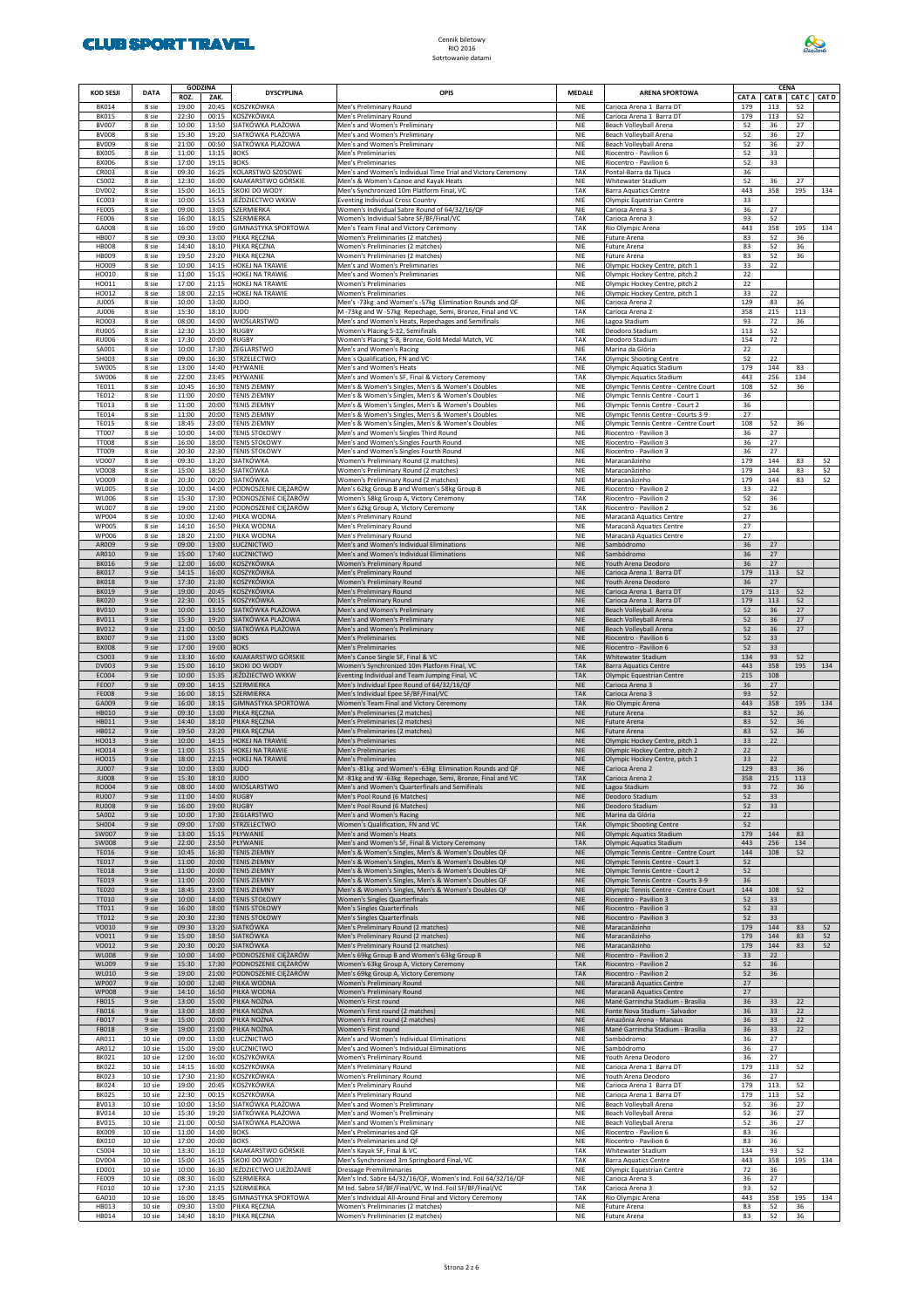

| <b>KOD SESJI</b>             | <b>DATA</b>      | <b>GODZINA</b> |                | <b>DYSCYPLINA</b>                            | OPIS                                                                                                              | MEDALE                   | <b>ARENA SPORTOWA</b>                                                 | CENA<br>CAT A<br><b>CAT B</b><br><b>CAT C</b> |            |           |              |  |  |
|------------------------------|------------------|----------------|----------------|----------------------------------------------|-------------------------------------------------------------------------------------------------------------------|--------------------------|-----------------------------------------------------------------------|-----------------------------------------------|------------|-----------|--------------|--|--|
| <b>BK014</b>                 | 8 sie            | ROZ.<br>19:00  | ZAK<br>20:45   | KOSZYKÓWKA                                   | Men's Preliminary Round                                                                                           | NIE                      | Carioca Arena 1 Barra DT                                              | 179                                           | 113        | 52        | <b>CAT D</b> |  |  |
| <b>BK015</b><br><b>BV007</b> | 8 sie<br>8 sie   | 22:30<br>10:00 | 00:15<br>13:50 | KOSZYKÓWKA<br>SIATKÓWKA PLAŻOWA              | Men's Preliminary Round<br>Men's and Women's Preliminary                                                          | <b>NIE</b><br><b>NIE</b> | Carioca Arena 1 Barra DT<br>Beach Volleyball Arena                    | 179<br>52                                     | 113<br>36  | 52<br>27  |              |  |  |
| <b>BV008</b>                 | 8 sie            | 15:30          | 19:20          | SIATKÓWKA PLAŻOWA                            | Men's and Women's Preliminary                                                                                     | <b>NIE</b>               | Beach Volleyball Arena                                                | 52                                            | 36         | 27        |              |  |  |
| <b>BV009</b><br><b>BX005</b> | 8 sie<br>8 sie   | 21:00<br>11:00 | 00:50<br>13:15 | SIATKÓWKA PLAŻOWA<br><b>BOKS</b>             | Men's and Women's Preliminary<br>Men's Preliminaries                                                              | <b>NIE</b><br><b>NIE</b> | Beach Volleyball Arena<br>Riocentro - Pavilion 6                      | 52<br>52                                      | 36<br>33   | 27        |              |  |  |
| <b>BX006</b><br>CR003        | 8 sie<br>8 sie   | 17:00<br>09:30 | 19:15<br>16:25 | <b>BOKS</b><br>KOLARSTWO SZOSOWE             | Men's Preliminaries<br>Men's and Women's Individual Time Trial and Victory Ceremony                               | <b>NIE</b><br>TAK        | Riocentro - Pavilion 6<br>Pontal-Barra da Tijuca                      | 52<br>36                                      | 33         |           |              |  |  |
| CS002                        | 8 sie            | 12:30          | 16:00          | KAJAKARSTWO GÓRSKIE                          | Men's & Women's Canoe and Kayak Heats                                                                             | <b>NIE</b>               | Whitewater Stadium                                                    | 52                                            | 36         | 27        |              |  |  |
| DV002<br>EC003               | 8 sie<br>8 sie   | 15:00<br>10:00 | 16:15<br>15:53 | SKOKI DO WODY<br>JEŹDZIECTWO WKKW            | Men's Synchronized 10m Platform Final, VC<br><b>Eventing Individual Cross Country</b>                             | TAK<br>NIE               | Barra Aquatics Centre<br>Olympic Equestrian Centre                    | 443<br>33                                     | 358        | 195       | 134          |  |  |
| <b>FE005</b><br><b>FE006</b> | 8 sie<br>8 sie   | 09:00<br>16:00 | 13:05<br>18:15 | SZERMIERKA<br>SZERMIERKA                     | Women's Individual Sabre Round of 64/32/16/QF<br>Women's Individual Sabre SF/BF/Final/VC                          | NIE<br>TAK               | Carioca Arena 3<br>Carioca Arena 3                                    | 36<br>93                                      | 27<br>52   |           |              |  |  |
| GA008                        | 8 sie            | 16:00          | 19:00          | GIMNASTYKA SPORTOWA                          | Men's Team Final and Victory Ceremony                                                                             | TAK                      | Rio Olympic Arena                                                     | 443                                           | 358        | 195       | 134          |  |  |
| <b>HB007</b><br><b>HB008</b> | 8 sie<br>8 sie   | 09:30<br>14:40 | 13:00<br>18:10 | PIŁKA RĘCZNA<br>PIŁKA RĘCZNA                 | Women's Preliminaries (2 matches)<br>Women's Preliminaries (2 matches)                                            | <b>NIE</b><br><b>NIE</b> | Future Arena<br>Future Arena                                          | 83<br>83                                      | 52<br>52   | 36<br>36  |              |  |  |
| <b>HB009</b><br>HO009        | 8 sie<br>8 sie   | 19:50<br>10:00 | 23:20<br>14:15 | PIŁKA RĘCZNA<br>HOKEJ NA TRAWIE              | Women's Preliminaries (2 matches)<br>Men's and Women's Preliminaries                                              | <b>NIE</b><br><b>NIE</b> | Future Arena<br>Olympic Hockey Centre, pitch 1                        | 83<br>33                                      | 52<br>22   | 36        |              |  |  |
| HO010                        | 8 sie            | 11:00          | 15:15          | HOKEJ NA TRAWIE                              | Men's and Women's Preliminaries                                                                                   | <b>NIE</b>               | Olympic Hockey Centre, pitch 2                                        | 22                                            |            |           |              |  |  |
| HO011<br>HO012               | 8 sie<br>8 sie   | 17:00<br>18:00 | 21:15<br>22:15 | <b>HOKEJ NA TRAWIE</b><br>HOKEJ NA TRAWIE    | <b>Women's Preliminaries</b><br><b>Women's Preliminaries</b>                                                      | <b>NIE</b><br><b>NIE</b> | Olympic Hockey Centre, pitch 2<br>Olympic Hockey Centre, pitch 1      | 22<br>33                                      | 22         |           |              |  |  |
| <b>JU005</b>                 | 8 sie            | 10:00          | 13:00          | JUDO                                         | Men's -73kg and Women's -57kg Elimination Rounds and QF                                                           | <b>NIE</b>               | Carioca Arena 2                                                       | 129                                           | 83         | 36        |              |  |  |
| <b>JU006</b><br>RO003        | 8 sie<br>8 sie   | 15:30<br>08:00 | 18:10<br>14:00 | JUDO<br>WIOŚLARSTWO                          | M -73kg and W -57kg Repechage, Semi, Bronze, Final and VC<br>Men's and Women's Heats, Repechages and Semifinals   | TAK<br><b>NIE</b>        | Carioca Arena 2<br>Lagoa Stadium                                      | 358<br>93                                     | 215<br>72  | 113<br>36 |              |  |  |
| <b>RU005</b><br><b>RU006</b> | 8 sie<br>8 sie   | 12:30<br>17:30 | 15:30<br>20:00 | RUGBY<br><b>RUGBY</b>                        | Women's Placing 5-12, Semifinals<br>Women's Placing 5-8, Bronze, Gold Medal Match, VC                             | <b>NIE</b><br>TAK        | Deodoro Stadium<br>Deodoro Stadium                                    | 113<br>154                                    | 52<br>72   |           |              |  |  |
| SA001                        | 8 sie            | 10:00          | 17:30          | ŻEGLARSTWO                                   | Men's and Women's Racing                                                                                          | <b>NIE</b>               | Marina da Glória                                                      | 22                                            |            |           |              |  |  |
| SH003<br><b>SW005</b>        | 8 sie<br>8 sie   | 09:00<br>13:00 | 16:30<br>14:40 | STRZELECTWO<br>PŁYWANIE                      | Men's Qualification, FN and VC<br>Men's and Women's Heats                                                         | TAK<br><b>NIE</b>        | <b>Olympic Shooting Centre</b><br>Olympic Aquatics Stadium            | 52<br>179                                     | 22<br>144  | 83        |              |  |  |
| SW006<br><b>TE011</b>        | 8 sie<br>8 sie   | 22:00          | 23:45<br>16:30 | PŁYWANIE                                     | Men's and Women's SF, Final & Victory Ceremony                                                                    | TAK<br><b>NIE</b>        | Olympic Aquatics Stadium<br>Olympic Tennis Centre - Centre Court      | 443                                           | 256        | 134       |              |  |  |
| <b>TE012</b>                 | 8 sie            | 10:45<br>11:00 | 20:00          | <b>TENIS ZIEMNY</b><br><b>TENIS ZIEMNY</b>   | Men's & Women's Singles, Men's & Women's Doubles<br>Men's & Women's Singles, Men's & Women's Doubles              | <b>NIE</b>               | Olympic Tennis Centre - Court 1                                       | 108<br>36                                     | 52         | 36        |              |  |  |
| <b>TE013</b><br><b>TE014</b> | 8 sie<br>8 sie   | 11:00<br>11:00 | 20:00<br>20:00 | <b>TENIS ZIEMNY</b><br><b>TENIS ZIEMNY</b>   | Men's & Women's Singles, Men's & Women's Doubles<br>Men's & Women's Singles, Men's & Women's Doubles              | <b>NIE</b><br><b>NIE</b> | Olympic Tennis Centre - Court 2<br>Olympic Tennis Centre - Courts 3-9 | 36<br>27                                      |            |           |              |  |  |
| <b>TE015</b>                 | 8 sie            | 18:45          | 23:00          | <b>TENIS ZIEMNY</b>                          | Men's & Women's Singles, Men's & Women's Doubles                                                                  | <b>NIE</b>               | Olympic Tennis Centre - Centre Court                                  | 108                                           | 52         | 36        |              |  |  |
| TT007<br><b>TT008</b>        | 8 sie<br>8 sie   | 10:00<br>16:00 | 14:00<br>18:00 | <b>TENIS STOŁOWY</b><br><b>TENIS STOŁOWY</b> | Men's and Women's Singles Third Round<br>Men's and Women's Singles Fourth Round                                   | <b>NIE</b><br><b>NIE</b> | Riocentro - Pavilion 3<br>Riocentro - Pavilion 3                      | 36<br>36                                      | 27<br>27   |           |              |  |  |
| TT009<br>VO007               | 8 sie<br>8 sie   | 20:30<br>09:30 | 22:30<br>13:20 | <b>TENIS STOŁOWY</b><br>SIATKÓWKA            | Men's and Women's Singles Fourth Round<br>Women's Preliminary Round (2 matches)                                   | <b>NIE</b><br><b>NIE</b> | Riocentro - Pavilion 3<br>Maracanãzinho                               | 36<br>179                                     | 27<br>144  | 83        | 52           |  |  |
| VO008                        | 8 sie            | 15:00          | 18:50          | SIATKÓWKA                                    | Women's Preliminary Round (2 matches)                                                                             | <b>NIE</b>               | Maracanãzinho                                                         | 179                                           | 144        | 83        | 52           |  |  |
| VO009<br><b>WL005</b>        | 8 sie<br>8 sie   | 20:30<br>10:00 | 00:20<br>14:00 | SIATKÓWKA<br>PODNOSZENIE CIĘŻARÓW            | Women's Preliminary Round (2 matches)<br>Men's 62kg Group B and Women's 58kg Group B                              | <b>NIE</b><br><b>NIE</b> | Maracanãzinho<br>Riocentro - Pavilion 2                               | 179<br>33                                     | 144<br>22  | 83        | 52           |  |  |
| <b>WL006</b>                 | 8 sie            | 15:30          | 17:30          | PODNOSZENIE CIĘŻARÓW                         | Women's 58kg Group A, Victory Ceremony                                                                            | TAK                      | Riocentro - Pavilion 2                                                | 52                                            | 36         |           |              |  |  |
| WL007<br><b>WP004</b>        | 8 sie<br>8 sie   | 19:00<br>10:00 | 21:00<br>12:40 | PODNOSZENIE CIĘŻARÓW<br>PIŁKA WODNA          | Men's 62kg Group A, Victory Ceremony<br>Men's Preliminary Round                                                   | TAK<br><b>NIE</b>        | Riocentro - Pavilion 2<br>Maracanã Aquatics Centre                    | 52<br>27                                      | 36         |           |              |  |  |
| <b>WP005</b><br><b>WP006</b> | 8 sie<br>8 sie   | 14:10<br>18:20 | 16:50<br>21:00 | PIŁKA WODNA<br>PIŁKA WODNA                   | Men's Preliminary Round<br>Men's Preliminary Round                                                                | <b>NIE</b><br><b>NIE</b> | Maracanã Aquatics Centre<br>Maracanã Aquatics Centre                  | 27<br>27                                      |            |           |              |  |  |
| AR009                        | 9 sie            | 09:00          | 13:00          | ŁUCZNICTWO                                   | Men's and Women's Individual Eliminations                                                                         | <b>NIE</b>               | Sambódromo                                                            | 36                                            | 27         |           |              |  |  |
| AR010<br><b>BK016</b>        | 9 sie<br>9 sie   | 15:00<br>12:00 | 17:40<br>16:00 | ŁUCZNICTWO<br>KOSZYKÓWKA                     | Men's and Women's Individual Eliminations<br>Women's Preliminary Round                                            | <b>NIE</b><br><b>NIE</b> | sambódromo<br>Youth Arena Deodoro                                     | 36<br>36                                      | 27<br>27   |           |              |  |  |
| <b>BK017</b>                 | 9 sie            | 14:15          | 16:00          | KOSZYKÓWKA                                   | Men's Preliminary Round                                                                                           | <b>NIE</b>               | Carioca Arena 1 Barra DT                                              | 179                                           | 113        | 52        |              |  |  |
| <b>BK018</b><br><b>BK019</b> | 9 sie<br>9 sie   | 17:30<br>19:00 | 21:30<br>20:45 | KOSZYKÓWKA<br>KOSZYKÓWKA                     | Women's Preliminary Round<br>Men's Preliminary Round                                                              | <b>NIE</b><br><b>NIE</b> | Youth Arena Deodoro<br>Carioca Arena 1 Barra DT                       | 36<br>179                                     | 27<br>113  | 52        |              |  |  |
| <b>BK020</b><br><b>BV010</b> | 9 sie<br>9 sie   | 22:30<br>10:00 | 00:15<br>13:50 | KOSZYKÓWKA<br>SIATKÓWKA PLAŻOWA              | Men's Preliminary Round<br>Men's and Women's Preliminary                                                          | <b>NIE</b><br><b>NIE</b> | Carioca Arena 1 Barra DT<br>Beach Volleyball Arena                    | 179<br>52                                     | 113<br>36  | 52<br>27  |              |  |  |
| BV011                        | 9 sie            | 15:30          | 19:20          | SIATKÓWKA PLAŻOWA                            | Men's and Women's Preliminary                                                                                     | <b>NIE</b>               | Beach Volleyball Arena                                                | 52                                            | 36         | 27        |              |  |  |
| <b>BV012</b><br><b>BX007</b> | 9 sie<br>9 sie   | 21:00<br>11:00 | 00:50<br>13:00 | SIATKÓWKA PLAŻOWA<br><b>BOKS</b>             | Men's and Women's Preliminary<br>Men's Preliminaries                                                              | <b>NIE</b><br><b>NIE</b> | Beach Volleyball Arena<br>Riocentro - Pavilion 6                      | 52<br>52                                      | 36<br>33   | 27        |              |  |  |
| <b>BX008</b>                 | 9 sie            | 17:00          | 19:00          | <b>BOKS</b>                                  | Men's Preliminaries                                                                                               | <b>NIE</b>               | Riocentro - Pavilion 6                                                | 52                                            | 33         |           |              |  |  |
| CS003<br>DV003               | 9 sie<br>9 sie   | 13:30<br>15:00 | 16:00<br>16:10 | KAJAKARSTWO GÓRSKIE<br>SKOKI DO WODY         | Men's Canoe Single SF, Final & VC<br>Women's Synchronized 10m Platform Final, VC                                  | <b>TAK</b><br><b>TAK</b> | Whitewater Stadium<br><b>Barra Aquatics Centre</b>                    | 134<br>443                                    | 93<br>358  | 52<br>195 | 134          |  |  |
| EC004<br><b>FE007</b>        | 9 sie<br>9 sie   | 10:00<br>09:00 | 15:35<br>14:15 | JEŹDZIECTWO WKKW<br>SZERMIERKA               | Eventing Individual and Team Jumping Final, VC<br>Men's Individual Epee Round of 64/32/16/QF                      | <b>TAK</b><br><b>NIE</b> | Olympic Equestrian Centre<br>Carioca Arena 3                          | 215<br>36                                     | 108<br>27  |           |              |  |  |
| <b>FE008</b>                 | 9 sie            | 16:00          | 18:15          | SZERMIERKA                                   | Men's Individual Epee SF/BF/Final/VC                                                                              | TAK                      | Carioca Arena 3                                                       | 93                                            | 52         |           |              |  |  |
| GA009<br><b>HB010</b>        | 9 sie<br>9 sie   | 16:00<br>09:30 | 18:15<br>13:00 | <b>GIMNASTYKA SPORTOWA</b><br>PIŁKA RĘCZNA   | Women's Team Final and Victory Ceremony<br>Men's Preliminaries (2 matches)                                        | <b>TAK</b><br><b>NIE</b> | Rio Olympic Arena<br><b>Future Arena</b>                              | 443<br>83                                     | 358<br>52  | 195<br>36 | 134          |  |  |
| HB011<br><b>HB012</b>        | 9 sie<br>9 sie   | 14:40<br>19:50 | 18:10<br>23:20 | PIŁKA RĘCZNA<br>PIŁKA RĘCZNA                 | Men's Preliminaries (2 matches)<br>Men's Preliminaries (2 matches)                                                | <b>NIE</b><br><b>NIE</b> | <b>Future Arena</b><br><b>Future Arena</b>                            | 83<br>83                                      | 52<br>52   | 36<br>36  |              |  |  |
| HO013                        | 9 sie            | 10:00          | 14:15          | <b>HOKEJ NA TRAWIE</b>                       | Men's Preliminaries                                                                                               | <b>NIE</b>               | Olympic Hockey Centre, pitch 1                                        | 33                                            | 22         |           |              |  |  |
| HO014<br>HO015               | 9 sie<br>9 sie   | 11:00<br>18:00 | 15:15<br>22:15 | HOKEJ NA TRAWIE<br><b>HOKEJ NA TRAWIE</b>    | Men's Preliminaries<br>Men's Preliminaries                                                                        | <b>NIE</b><br><b>NIE</b> | Olympic Hockey Centre, pitch 2<br>Olympic Hockey Centre, pitch 1      | 22<br>33                                      | 22         |           |              |  |  |
| <b>JU007</b>                 | 9 sie            | 10:00          | 13:00          | <b>JUDO</b>                                  | Men's -81kg and Women's -63kg Elimination Rounds and QF                                                           | <b>NIE</b>               | Carioca Arena 2                                                       | 129                                           | 83         | 36        |              |  |  |
| <b>JU008</b><br>RO004        | y sie<br>9 sie   | 15:30<br>08:00 | 18:10<br>14:00 | <b>JUDO</b><br>WIOŚLARSTWO                   | vi -81kg and W -63kg Repechage, Semi, Bronze, Final and VC<br>Men's and Women's Quarterfinals and Semifinals      | <b>TAK</b><br><b>NIE</b> | Larioca Arena ⊿<br>Lagoa Stadium                                      | 358<br>93                                     | 215<br>72  | 113<br>36 |              |  |  |
| <b>RU007</b><br><b>RU008</b> | 9 sie<br>9 sie   | 11:00<br>16:00 | 14:00<br>19:00 | <b>RUGBY</b><br><b>RUGBY</b>                 | Men's Pool Round (6 Matches)<br>Men's Pool Round (6 Matches)                                                      | <b>NIE</b><br><b>NIE</b> | Deodoro Stadium<br>Deodoro Stadium                                    | 52<br>52                                      | 33<br>33   |           |              |  |  |
| SA002                        | 9 sie            | 10:00          | 17:30          | ŻEGLARSTWO                                   | Men's and Women's Racing                                                                                          | <b>NIE</b>               | Marina da Glória                                                      | 22                                            |            |           |              |  |  |
| SH004<br>SW007               | 9 sie<br>9 sie   | 09:00<br>13:00 | 17:00<br>15:15 | STRZELECTWO<br>PŁYWANIE                      | Women's Qualification, FN and VC<br>Men's and Women's Heats                                                       | <b>TAK</b><br><b>NIE</b> | <b>Olympic Shooting Centre</b><br>Olympic Aquatics Stadium            | 52<br>179                                     | 144        | 83        |              |  |  |
| <b>SW008</b>                 | 9 sie<br>9 sie   | 22:00          | 23:50<br>16:30 | PŁYWANIE                                     | Men's and Women's SF, Final & Victory Ceremony                                                                    | <b>TAK</b>               | Olympic Aquatics Stadium<br>Olympic Tennis Centre - Centre Court      | 443                                           | 256        | 134       |              |  |  |
| <b>TE016</b><br><b>TE017</b> | 9 sie            | 10:45<br>11:00 | 20:00          | <b>TENIS ZIEMNY</b><br><b>TENIS ZIEMNY</b>   | Men's & Women's Singles, Men's & Women's Doubles QF<br>Men's & Women's Singles, Men's & Women's Doubles QF        | <b>NIE</b><br><b>NIE</b> | Olympic Tennis Centre - Court 1                                       | 144<br>52                                     | 108        | 52        |              |  |  |
| <b>TE018</b><br><b>TE019</b> | 9 sie<br>9 sie   | 11:00<br>11:00 | 20:00<br>20:00 | <b>TENIS ZIEMNY</b><br><b>TENIS ZIEMNY</b>   | Men's & Women's Singles, Men's & Women's Doubles QF<br>Men's & Women's Singles, Men's & Women's Doubles QF        | <b>NIE</b><br><b>NIE</b> | Olympic Tennis Centre - Court 2<br>Olympic Tennis Centre - Courts 3-9 | 52<br>36                                      |            |           |              |  |  |
| <b>TE020</b><br>TT010        | 9 sie<br>9 sie   | 18:45<br>10:00 | 23:00<br>14:00 | <b>TENIS ZIEMNY</b><br><b>TENIS STOŁOWY</b>  | Men's & Women's Singles, Men's & Women's Doubles QF<br><b>Women's Singles Quarterfinals</b>                       | <b>NIE</b><br><b>NIE</b> | Olympic Tennis Centre - Centre Court<br>Riocentro - Pavilion 3        | 144<br>52                                     | 108<br>33  | 52        |              |  |  |
| TT011                        | 9 sie            | 16:00          | 18:00          | <b>TENIS STOŁOWY</b>                         | Men's Singles Quarterfinals                                                                                       | <b>NIE</b>               | Riocentro - Pavilion 3                                                | 52                                            | 33         |           |              |  |  |
| TT012<br>VO010               | 9 sie<br>9 sie   | 20:30<br>09:30 | 22:30<br>13:20 | <b>TENIS STOŁOWY</b><br>SIATKÓWKA            | Men's Singles Quarterfinals<br>Men's Preliminary Round (2 matches)                                                | <b>NIE</b><br><b>NIE</b> | Riocentro - Pavilion 3<br>Maracanãzinho                               | 52<br>179                                     | 33<br>144  | 83        | 52           |  |  |
| VO011                        | 9 sie            | 15:00          | 18:50          | SIATKÓWKA                                    | Men's Preliminary Round (2 matches)                                                                               | <b>NIE</b>               | Maracanãzinho                                                         | 179                                           | 144        | 83        | 52           |  |  |
| VO012<br><b>WL008</b>        | 9 sie<br>9 sie   | 20:30<br>10:00 | 00:20<br>14:00 | <b>SIATKÓWKA</b><br>PODNOSZENIE CIĘŻARÓW     | Men's Preliminary Round (2 matches)<br>Men's 69kg Group B and Women's 63kg Group B                                | <b>NIE</b><br><b>NIE</b> | Maracanãzinho<br>Riocentro - Pavilion 2                               | 179<br>33                                     | 144<br>22  | 83        | 52           |  |  |
| <b>WL009</b><br><b>WL010</b> | 9 sie<br>9 sie   | 15:30<br>19:00 | 17:30<br>21:00 | PODNOSZENIE CIĘŻARÓW<br>PODNOSZENIE CIĘŻARÓW | Women's 63kg Group A, Victory Ceremony<br>Men's 69kg Group A, Victory Ceremony                                    | <b>TAK</b><br><b>TAK</b> | Riocentro - Pavilion 2<br>Riocentro - Pavilion 2                      | 52<br>52                                      | 36<br>36   |           |              |  |  |
| <b>WP007</b>                 | 9 sie            | 10:00          | 12:40          | PIŁKA WODNA                                  | Women's Preliminary Round                                                                                         | <b>NIE</b>               | Maracanã Aquatics Centre                                              | 27                                            |            |           |              |  |  |
| <b>WP008</b><br>FB015        | 9 sie<br>9 sie   | 14:10<br>13:00 | 16:50<br>15:00 | PIŁKA WODNA<br>PIŁKA NOŻNA                   | Women's Preliminary Round<br>Women's First round                                                                  | <b>NIE</b><br><b>NIE</b> | Maracanã Aquatics Centre<br>Mané Garrincha Stadium - Brasília         | 27<br>36                                      | 33         | 22        |              |  |  |
| FB016<br>FB017               | 9 sie<br>9 sie   | 13:00<br>15:00 | 18:00<br>20:00 | PIŁKA NOŻNA<br>PIŁKA NOŻNA                   | Women's First round (2 matches)                                                                                   | <b>NIE</b><br><b>NIE</b> | Fonte Nova Stadium - Salvador                                         | 36                                            | 33         | 22        |              |  |  |
| <b>FB018</b>                 | 9 sie            | 19:00          | 21:00          | PIŁKA NOŻNA                                  | Women's First round (2 matches)<br>Women's First round                                                            | <b>NIE</b>               | Amazônia Arena - Manaus<br>Mané Garrincha Stadium - Brasília          | 36<br>36                                      | 33<br>33   | 22<br>22  |              |  |  |
| AR011<br>AR012               | 10 sie<br>10 sie | 09:00<br>15:00 | 13:00<br>19:00 | ŁUCZNICTWO<br>LUCZNICTWO                     | Men's and Women's Individual Eliminations<br>Men's and Women's Individual Eliminations                            | <b>NIE</b><br><b>NIE</b> | Sambódromo<br>iambódromo                                              | 36<br>36                                      | 27<br>27   |           |              |  |  |
| <b>BK021</b>                 | 10 sie           | 12:00          | 16:00          | KOSZYKÓWKA                                   | Women's Preliminary Round                                                                                         | <b>NIE</b>               | Youth Arena Deodoro                                                   | 36                                            | 27         |           |              |  |  |
| <b>BK022</b><br><b>BK023</b> | 10 sie<br>10 sie | 14:15<br>17:30 | 16:00<br>21:30 | KOSZYKÓWKA<br>KOSZYKÓWKA                     | Men's Preliminary Round<br>Women's Preliminary Round                                                              | <b>NIE</b><br><b>NIE</b> | Carioca Arena 1 Barra DT<br>Youth Arena Deodoro                       | 179<br>36                                     | 113<br>27  | 52        |              |  |  |
| <b>BK024</b><br><b>BK025</b> | 10 sie<br>10 sie | 19:00<br>22:30 | 20:45<br>00:15 | KOSZYKÓWKA<br>KOSZYKÓWKA                     | Men's Preliminary Round<br>Men's Preliminary Round                                                                | <b>NIE</b><br>NIE        | Carioca Arena 1 Barra DT<br>Carioca Arena 1 Barra DT                  | 179<br>179                                    | 113<br>113 | 52<br>52  |              |  |  |
| <b>BV013</b>                 | 10 sie           | 10:00          | 13:50          | SIATKÓWKA PLAŻOWA                            | Men's and Women's Preliminary                                                                                     | <b>NIE</b>               | Beach Volleyball Arena                                                | 52                                            | 36         | 27        |              |  |  |
| <b>BV014</b><br><b>BV015</b> | 10 sie<br>10 sie | 15:30<br>21:00 | 19:20<br>00:50 | SIATKÓWKA PLAŻOWA<br>SIATKÓWKA PLAŻOWA       | Men's and Women's Preliminary<br>Men's and Women's Preliminary                                                    | <b>NIE</b><br>NIE        | Beach Volleyball Arena<br>Beach Volleyball Arena                      | 52<br>52                                      | 36<br>36   | 27<br>27  |              |  |  |
| <b>BX009</b><br><b>BX010</b> | 10 sie<br>10 sie | 11:00<br>17:00 | 14:00<br>20:00 | <b>BOKS</b><br><b>BOKS</b>                   | Men's Preliminaries and QF<br>Men's Preliminaries and QF                                                          | <b>NIE</b><br><b>NIE</b> | Riocentro - Pavilion 6<br>Riocentro - Pavilion 6                      | 83<br>83                                      | 36<br>36   |           |              |  |  |
| CS004                        | 10 sie           | 13:30          | 16:10          | KAJAKARSTWO GÓRSKIE                          | Men's Kayak SF, Final & VC                                                                                        | TAK                      | Whitewater Stadium                                                    | 134                                           | 93         | 52        |              |  |  |
| <b>DV004</b><br>ED001        | 10 sie<br>10 sie | 15:00<br>10:00 | 16:15<br>16:30 | SKOKI DO WODY<br>JEŹDZIECTWO UJEŻDŻANIE      | Men's Synchronized 3m Springboard Final, VC<br><b>Dressage Premiliminaries</b>                                    | TAK<br><b>NIE</b>        | Barra Aquatics Centre<br>Olympic Equestrian Centre                    | 443<br>72                                     | 358<br>36  | 195       | 134          |  |  |
| <b>FE009</b>                 | 10 sie           | 08:30          | 16:00          | SZERMIERKA                                   | Men's Ind. Sabre 64/32/16/QF, Women's Ind. Foil 64/32/16/QF                                                       | NIE                      | Carioca Arena 3                                                       | 36                                            | 27         |           |              |  |  |
| FE010<br>GA010               | 10 sie<br>10 sie | 17:30<br>16:00 | 21:15<br>18:45 | SZERMIERKA<br>GIMNASTYKA SPORTOWA            | M Ind. Sabre SF/BF/Final/VC, W Ind. Foil SF/BF/Final/VC<br>Men's Individual All-Around Final and Victory Ceremony | TAK<br>TAK               | Carioca Arena 3<br>Rio Olympic Arena                                  | 93<br>443                                     | 52<br>358  | 195       | 134          |  |  |
| <b>HB013</b><br>HB014        | 10 sie<br>10 sie | 09:30<br>14:40 | 13:00<br>18:10 | PIŁKA RĘCZNA<br>PIŁKA RĘCZNA                 | Women's Preliminaries (2 matches)<br>Women's Preliminaries (2 matches)                                            | NIE<br>NIE               | Future Arena<br>Future Arena                                          | 83<br>83                                      | 52<br>52   | 36<br>36  |              |  |  |
|                              |                  |                |                |                                              |                                                                                                                   |                          |                                                                       |                                               |            |           |              |  |  |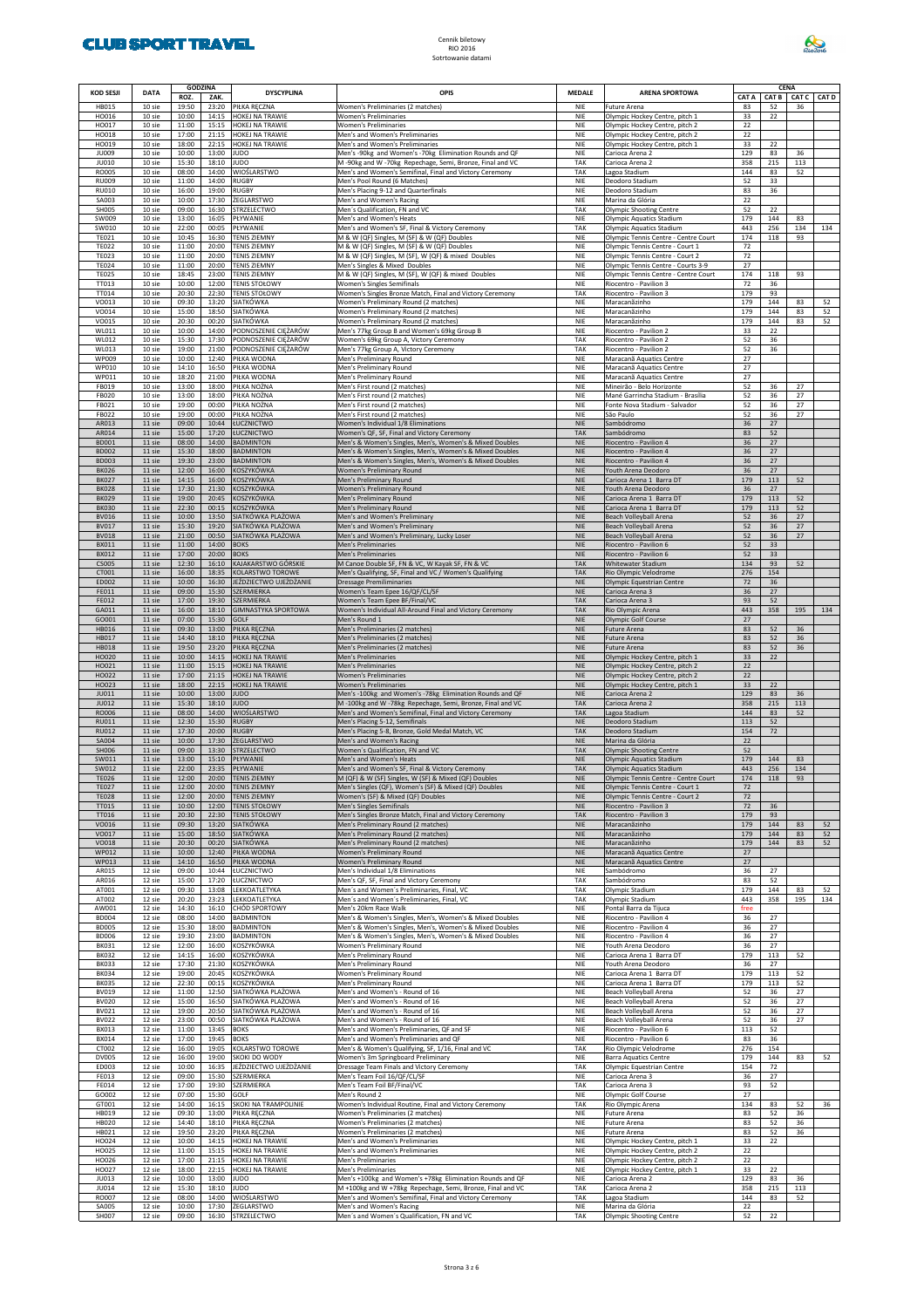

| <b>KOD SESJI</b>             | <b>DATA</b>      | <b>GODZINA</b><br>ROZ. | ZAK.                | <b>DYSCYPLINA</b>                              | OPIS                                                                                                                   | <b>MEDALE</b>            | <b>ARENA SPORTOWA</b>                                                      | CAT A      |            | <b>CENA</b><br>CAT B CAT C CAT D |           |
|------------------------------|------------------|------------------------|---------------------|------------------------------------------------|------------------------------------------------------------------------------------------------------------------------|--------------------------|----------------------------------------------------------------------------|------------|------------|----------------------------------|-----------|
| <b>HB015</b><br>HO016        | 10 sie<br>10 sie | 19:50<br>10:00         |                     | 23:20 PIŁKA RĘCZNA<br>14:15 HOKEJ NA TRAWIE    | Women's Preliminaries (2 matches)<br><b>Women's Preliminaries</b>                                                      | NIE<br>NIE               | Future Arena<br>Olympic Hockey Centre, pitch 1                             | 83<br>33   | 52<br>22   | 36                               |           |
| HO017<br>HO018               | 10 sie<br>10 sie | 11:00<br>17:00         |                     | 15:15 HOKEJ NA TRAWIE<br>21:15 HOKEJ NA TRAWIE | <b>Women's Preliminaries</b><br>Men's and Women's Preliminaries                                                        | NIE<br>NIE               | Olympic Hockey Centre, pitch 2<br>Olympic Hockey Centre, pitch 2           | 22<br>22   |            |                                  |           |
| HO019<br><b>JU009</b>        | 10 sie<br>10 sie | 18:00<br>10:00         | 13:00 JUDO          | 22:15 HOKEJ NA TRAWIE                          | Men's and Women's Preliminaries<br>Men's -90kg and Women's -70kg Elimination Rounds and QF                             | NIE<br>NIE               | Olympic Hockey Centre, pitch 1<br>Carioca Arena 2                          | 33<br>129  | 22<br>83   | 36                               |           |
| JU010<br>RO005               | 10 sie<br>10 sie | 15:30<br>08:00         | 18:10 JUDO<br>14:00 | WIOŚLARSTWO                                    | M -90kg and W -70kg Repechage, Semi, Bronze, Final and VC<br>Men's and Women's Semifinal, Final and Victory Ceremony   | TAK<br>TAK               | Carioca Arena 2<br>Lagoa Stadium                                           | 358<br>144 | 215<br>83  | 113<br>52                        |           |
| <b>RU009</b><br><b>RU010</b> | 10 sie<br>10 sie | 11:00<br>16:00         | 14:00<br>19:00      | <b>RUGBY</b><br><b>RUGBY</b>                   | Men's Pool Round (6 Matches)<br>Men's Placing 9-12 and Quarterfinals                                                   | NIE<br>NIE               | Deodoro Stadium<br>Deodoro Stadium                                         | 52<br>83   | 33<br>36   |                                  |           |
| SA003<br><b>SH005</b>        | 10 sie<br>10 sie | 10:00<br>09:00         | 17:30               | <b>ŻEGLARSTWO</b><br>16:30 STRZELECTWO         | Men's and Women's Racing<br>Men's Qualification, FN and VC                                                             | NIE<br>TAK               | Marina da Glória<br><b>Olympic Shooting Centre</b>                         | 22<br>52   | 22         |                                  |           |
| SW009                        | 10 sie           | 13:00                  | 16:05               | PŁYWANIE                                       | Men's and Women's Heats                                                                                                | NIE                      | Olympic Aquatics Stadium                                                   | 179        | 144        | 83                               |           |
| SW010<br><b>TE021</b>        | 10 sie<br>10 sie | 22:00<br>10:45         | 00:05<br>16:30      | PŁYWANIE<br><b>TENIS ZIEMNY</b>                | Men's and Women's SF, Final & Victory Ceremony<br>M & W (QF) Singles, M (SF) & W (QF) Doubles                          | TAK<br>NIE               | Olympic Aquatics Stadium<br>Olympic Tennis Centre - Centre Court           | 443<br>174 | 256<br>118 | 134<br>93                        | 134       |
| <b>TE022</b><br><b>TE023</b> | 10 sie<br>10 sie | 11:00<br>11:00         | 20:00<br>20:00      | <b>TENIS ZIEMNY</b><br><b>TENIS ZIEMNY</b>     | M & W (QF) Singles, M (SF) & W (QF) Doubles<br>M & W (QF) Singles, M (SF), W (QF) & mixed Doubles                      | NIE<br>NIE               | Olympic Tennis Centre - Court 1<br>Olympic Tennis Centre - Court 2         | 72<br>72   |            |                                  |           |
| <b>TE024</b><br><b>TE025</b> | 10 sie<br>10 sie | 11:00<br>18:45         | 20:00<br>23:00      | <b>TENIS ZIEMNY</b><br><b>TENIS ZIEMNY</b>     | Men's Singles & Mixed Doubles<br>M & W (QF) Singles, M (SF), W (QF) & mixed Doubles                                    | NIE<br>NIE               | Olympic Tennis Centre - Courts 3-9<br>Olympic Tennis Centre - Centre Court | 27<br>174  | 118        | 93                               |           |
| TT013<br>TT014               | 10 sie<br>10 sie | 10:00<br>20:30         | 12:00<br>22:30      | <b>TENIS STOŁOWY</b><br><b>TENIS STOŁOWY</b>   | <b>Women's Singles Semifinals</b><br>Women's Singles Bronze Match, Final and Victory Ceremony                          | NIE<br>TAK               | Riocentro - Pavilion 3<br>Riocentro - Pavilion 3                           | 72<br>179  | 36<br>93   |                                  |           |
| VO013<br>VO014               | 10 sie<br>10 sie | 09:30<br>15:00         |                     | 13:20 SIATKÓWKA<br>18:50 SIATKÓWKA             | Women's Preliminary Round (2 matches)<br>Women's Preliminary Round (2 matches)                                         | NIE<br>NIE               | Maracanãzinho<br>Maracanãzinho                                             | 179<br>179 | 144<br>144 | 83<br>83                         | 52<br>52  |
| VO015                        | 10 sie           | 20:30                  |                     | 00:20 SIATKÓWKA                                | Women's Preliminary Round (2 matches)                                                                                  | NIE                      | Maracanãzinho                                                              | 179        | 144        | 83                               | 52        |
| WL011<br>WL012               | 10 sie<br>10 sie | 10:00<br>15:30         | 14:00<br>17:30      | PODNOSZENIE CIĘŻARÓW<br>PODNOSZENIE CIĘŻARÓW   | Men's 77kg Group B and Women's 69kg Group B<br>Women's 69kg Group A, Victory Ceremony                                  | NIE<br>TAK               | Riocentro - Pavilion 2<br>Riocentro - Pavilion 2                           | 33<br>52   | 22<br>36   |                                  |           |
| WL013<br>WP009               | 10 sie<br>10 sie | 19:00<br>10:00         | 21:00<br>12:40      | PODNOSZENIE CIĘŻARÓW<br>PIŁKA WODNA            | Men's 77kg Group A, Victory Ceremony<br>Men's Preliminary Round                                                        | TAK<br>NIE               | Riocentro - Pavilion 2<br>Maracanã Aquatics Centre                         | 52<br>27   | 36         |                                  |           |
| WP010<br>WP011               | 10 sie<br>10 sie | 14:10<br>18:20         | 16:50<br>21:00      | PIŁKA WODNA<br>PIŁKA WODNA                     | Men's Preliminary Round<br>Men's Preliminary Round                                                                     | NIE<br>NIE               | Maracana Aquatics Centre<br>Maracanã Aquatics Centre                       | 27<br>27   |            |                                  |           |
| FB019<br><b>FB020</b>        | 10 sie<br>10 sie | 13:00<br>13:00         | 18:00<br>18:00      | PIŁKA NOŻNA<br>PIŁKA NOŻNA                     | Men's First round (2 matches)<br>Men's First round (2 matches)                                                         | NIE<br>NIE               | Mineirão - Belo Horizonte<br>Mané Garrincha Stadium - Brasília             | 52<br>52   | 36<br>36   | 27<br>27                         |           |
| FB021<br>FB022               | 10 sie<br>10 sie | 19:00<br>19:00         | 00:00<br>00:00      | PIŁKA NOŻNA<br>PIŁKA NOŻNA                     | Men's First round (2 matches)<br>Men's First round (2 matches)                                                         | NIE<br>NIE               | Fonte Nova Stadium - Salvador<br>São Paulo                                 | 52<br>52   | 36<br>36   | 27<br>27                         |           |
| AR013                        | 11 sie           | 09:00                  | 10:44<br>17:20      | ŁUCZNICTWO                                     | Women's Individual 1/8 Eliminations                                                                                    | <b>NIE</b>               | Sambódromo<br>Sambódromo                                                   | 36         | 27         |                                  |           |
| AR014<br><b>BD001</b>        | 11 sie<br>11 sie | 15:00<br>08:00         | 14:00               | ŁUCZNICTWO<br><b>BADMINTON</b>                 | Women's QF, SF, Final and Victory Ceremony<br>Men's & Women's Singles, Men's, Women's & Mixed Doubles                  | <b>TAK</b><br><b>NIE</b> | Riocentro - Pavilion 4                                                     | 83<br>36   | 52<br>27   |                                  |           |
| <b>BD002</b><br><b>BD003</b> | 11 sie<br>11 sie | 15:30<br>19:30         | 18:00<br>23:00      | <b>BADMINTON</b><br><b>BADMINTON</b>           | Men's & Women's Singles, Men's, Women's & Mixed Doubles<br>Men's & Women's Singles, Men's, Women's & Mixed Doubles     | <b>NIE</b><br><b>NIE</b> | Riocentro - Pavilion 4<br>Riocentro - Pavilion 4                           | 36<br>36   | 27<br>27   |                                  |           |
| <b>BK026</b><br><b>BK027</b> | 11 sie<br>11 sie | 12:00<br>14:15         | 16:00<br>16:00      | KOSZYKÓWKA<br>KOSZYKÓWKA                       | Women's Preliminary Round<br>Men's Preliminary Round                                                                   | <b>NIE</b><br><b>NIE</b> | Youth Arena Deodoro<br>Carioca Arena 1 Barra DT                            | 36<br>179  | 27<br>113  | 52                               |           |
| <b>BK028</b><br><b>BK029</b> | 11 sie<br>11 sie | 17:30<br>19:00         | 21:30<br>20:45      | KOSZYKÓWKA<br>KOSZYKÓWKA                       | Women's Preliminary Round<br>Men's Preliminary Round                                                                   | <b>NIE</b><br><b>NIE</b> | Youth Arena Deodoro<br>Carioca Arena 1 Barra DT                            | 36<br>179  | 27<br>113  | 52                               |           |
| <b>BK030</b>                 | 11 sie           | 22:30                  | 00:15               | KOSZYKÓWKA                                     | Men's Preliminary Round                                                                                                | <b>NIE</b>               | Carioca Arena 1 Barra DT                                                   | 179        | 113        | 52                               |           |
| <b>BV016</b><br><b>BV017</b> | 11 sie<br>11 sie | 10:00<br>15:30         | 13:50<br>19:20      | SIATKÓWKA PLAŻOWA<br>SIATKÓWKA PLAŻOWA         | Men's and Women's Preliminary<br>Men's and Women's Preliminary                                                         | <b>NIE</b><br><b>NIE</b> | Beach Volleyball Arena<br>Beach Volleyball Arena                           | 52<br>52   | 36<br>36   | 27<br>27                         |           |
| <b>BV018</b><br><b>BX011</b> | 11 sie<br>11 sie | 21:00<br>11:00         | 00:50<br>14:00      | SIATKÓWKA PLAŻOWA<br><b>BOKS</b>               | Men's and Women's Preliminary, Lucky Loser<br>Men's Preliminaries                                                      | <b>NIE</b><br><b>NIE</b> | Beach Volleyball Arena<br>Riocentro - Pavilion 6                           | 52<br>52   | 36<br>33   | 27                               |           |
| <b>BX012</b><br><b>CS005</b> | 11 sie<br>11 sie | 17:00<br>12:30         | 20:00<br>16:10      | <b>BOKS</b><br>KAJAKARSTWO GÓRSKIE             | Men's Preliminaries<br>M Canoe Double SF, FN & VC, W Kayak SF, FN & VC                                                 | <b>NIE</b><br><b>TAK</b> | Riocentro - Pavilion 6<br>Whitewater Stadium                               | 52<br>134  | 33<br>93   | 52                               |           |
| CT001<br>ED002               | 11 sie<br>11 sie | 16:00<br>10:00         | 18:35<br>16:30      | KOLARSTWO TOROWE<br>JEŹDZIECTWO UJEŻDŻANIE     | Men's Qualifying, SF, Final and VC / Women's Qualifying<br><b>Dressage Premiliminaries</b>                             | <b>TAK</b><br><b>NIE</b> | Rio Olympic Velodrome<br>Olympic Equestrian Centre                         | 276<br>72  | 154<br>36  |                                  |           |
| FE011                        | 11 sie           | 09:00                  | 15:30               | SZERMIERKA                                     | Women's Team Epee 16/QF/CL/SF                                                                                          | <b>NIE</b>               | Carioca Arena 3                                                            | 36         | 27         |                                  |           |
| FE012<br>GA011               | 11 sie<br>11 sie | 17:00<br>16:00         | 19:30<br>18:10      | SZERMIERKA<br><b>GIMNASTYKA SPORTOWA</b>       | Women's Team Epee BF/Final/VC<br>Women's Individual All-Around Final and Victory Ceremony                              | <b>TAK</b><br><b>TAK</b> | Carioca Arena 3<br>Rio Olympic Arena                                       | 93<br>443  | 52<br>358  | 195                              | 134       |
| GO001<br><b>HB016</b>        | 11 sie<br>11 sie | 07:00<br>09:30         | 15:30<br>13:00      | GOLF<br>PIŁKA RĘCZNA                           | Men's Round 1<br>Men's Preliminaries (2 matches)                                                                       | <b>NIE</b><br><b>NIE</b> | Olympic Golf Course<br><b>Future Arena</b>                                 | 27<br>83   | 52         | 36                               |           |
| HB017<br><b>HB018</b>        | 11 sie<br>11 sie | 14:40<br>19:50         | 18:10<br>23:20      | PIŁKA RĘCZNA<br>PIŁKA RĘCZNA                   | Men's Preliminaries (2 matches)<br>Men's Preliminaries (2 matches)                                                     | <b>NIE</b><br><b>NIE</b> | Future Arena<br>Future Arena                                               | 83<br>83   | 52<br>52   | 36<br>36                         |           |
| HO020<br>HO021               | 11 sie<br>11 sie | 10:00<br>11:00         | 14:15<br>15:15      | HOKEJ NA TRAWIE<br>HOKEJ NA TRAWIE             | Men's Preliminaries<br>Men's Preliminaries                                                                             | <b>NIE</b><br><b>NIE</b> | Olympic Hockey Centre, pitch 1<br>Olympic Hockey Centre, pitch 2           | 33<br>22   | 22         |                                  |           |
| HO022                        | 11 sie           | 17:00                  | 21:15               | HOKEJ NA TRAWIE                                | <b>Women's Preliminaries</b>                                                                                           | <b>NIE</b>               | Olympic Hockey Centre, pitch 2                                             | 22         |            |                                  |           |
| HO023<br>JU011               | 11 sie<br>11 sie | 18:00<br>10:00         | 22:15<br>13:00      | HOKEJ NA TRAWIE<br><b>JUDO</b>                 | <b>Women's Preliminaries</b><br>Men's -100kg and Women's -78kg Elimination Rounds and QF                               | <b>NIE</b><br><b>NIE</b> | Olympic Hockey Centre, pitch 1<br>Carioca Arena 2                          | 33<br>129  | 22<br>83   | 36                               |           |
| JU012<br>RO006               | 11 sie<br>11 sie | 15:30<br>08:00         | 18:10<br>14:00      | JUDO<br>WIOŚLARSTWO                            | M-100kg and W-78kg Repechage, Semi, Bronze, Final and VC<br>Men's and Women's Semifinal, Final and Victory Ceremony    | <b>TAK</b><br><b>TAK</b> | Carioca Arena 2<br>Lagoa Stadium                                           | 358<br>144 | 215<br>83  | 113<br>52                        |           |
| <b>RU011</b><br><b>RU012</b> | 11 sie<br>11 sie | 12:30<br>17:30         | 15:30<br>20:00      | <b>RUGBY</b><br><b>RUGBY</b>                   | Men's Placing 5-12, Semifinals<br>Men's Placing 5-8, Bronze, Gold Medal Match, VC                                      | <b>NIE</b><br><b>TAK</b> | Deodoro Stadium<br>Deodoro Stadium                                         | 113<br>154 | 52<br>72   |                                  |           |
| SA004<br><b>SH006</b>        | 11 sie<br>11 sie | 10:00<br>09:00         | 17:30<br>13:30      | ŻEGLARSTWO<br>STRZELECTWO                      | Men's and Women's Racing<br>Women's Qualification, FN and VC                                                           | <b>NIE</b><br><b>TAK</b> | Marina da Glória<br><b>Olympic Shooting Centre</b>                         | 22<br>52   |            |                                  |           |
| SW011<br>SW012               | 11 sie<br>11 sie | 13:00<br>22:00         | 15:10<br>23:35      | PŁYWANIE<br>PŁYWANIE                           | Men's and Women's Heats<br>Men's and Women's SF, Final & Victory Ceremony                                              | <b>NIE</b><br>TAK        | Olympic Aquatics Stadium<br>Olympic Aquatics Stadium                       | 179<br>443 | 144<br>256 | 83<br>134                        |           |
| <b>TE026</b>                 | 11 sie           | 12:00                  | 20:00               | <b>TENIS ZIEMNY</b>                            | M (QF) & W (SF) Singles, W (SF) & Mixed (QF) Doubles                                                                   | <b>NIE</b>               | Olympic Tennis Centre - Centre Court                                       | 174        | 118        | 93                               |           |
| <b>TE027</b><br><b>TE028</b> | 11 sie<br>11 sie | 12:00<br>12:00         | 20:00<br>20:00      | <b>TENIS ZIEMNY</b><br><b>TENIS ZIEMNY</b>     | Men's Singles (QF), Women's (SF) & Mixed (QF) Doubles<br>Women's (SF) & Mixed (QF) Doubles                             | <b>NIE</b><br><b>NIE</b> | Olympic Tennis Centre - Court 1<br>Olympic Tennis Centre - Court 2         | 72<br>72   |            |                                  |           |
| TT015<br>TT016               | 11 sie<br>11 sie | 10:00<br>20:30         | 12:00<br>22:30      | <b>TENIS STOŁOWY</b><br><b>TENIS STOŁOWY</b>   | Men's Singles Semifinals<br>Men's Singles Bronze Match, Final and Victory Ceremony                                     | <b>NIE</b><br>TAK        | Riocentro - Pavilion 3<br>Riocentro - Pavilion 3                           | 72<br>179  | 36<br>93   |                                  |           |
| VO016<br>VO017               | 11 sie<br>11 sie | 09:30<br>15:00         | 13:20<br>18:50      | SIATKÓWKA<br>SIATKÓWKA                         | Men's Preliminary Round (2 matches)<br>Men's Preliminary Round (2 matches)                                             | <b>NIE</b><br><b>NIE</b> | Maracanãzinho<br>Maracanãzinho                                             | 179<br>179 | 144<br>144 | 83<br>83                         | 52<br>52  |
| VO018<br>WP012               | 11 sie<br>11 sie | 20:30<br>10:00         | 00:20<br>12:40      | <b>SIATKÓWKA</b><br>PIŁKA WODNA                | Men's Preliminary Round (2 matches)<br>Women's Preliminary Round                                                       | <b>NIE</b><br><b>NIE</b> | Maracanãzinho<br>Maracanã Aquatics Centre                                  | 179<br>27  | 144        | 83                               | 52        |
| WP013                        | 11 sie           | 14:10                  | 16:50               | PIŁKA WODNA                                    | Women's Preliminary Round                                                                                              | <b>NIE</b>               | Maracana Aquatics Centre                                                   | 27         |            |                                  |           |
| AR015<br>AR016               | 12 sie<br>12 sie | 09:00<br>15:00         |                     | 10:44 ŁUCZNICTWO<br>17:20 ŁUCZNICTWO           | Men's Individual 1/8 Eliminations<br>Men's QF, SF, Final and Victory Ceremony                                          | NIE<br>TAK               | Sambódromo<br>Sambódromo                                                   | 36<br>83   | 27<br>52   |                                  |           |
| AT001<br>AT002               | 12 sie<br>12 sie | 09:30<br>20:20         |                     | 13:08 LEKKOATLETYKA<br>23:23 LEKKOATLETYKA     | Men's and Women's Preliminaries, Final, VC<br>Men's and Women's Preliminaries, Final, VC                               | TAK<br>TAK               | Olympic Stadium<br>Olympic Stadium                                         | 179<br>443 | 144<br>358 | 83<br>195                        | 52<br>134 |
| AW001<br><b>BD004</b>        | 12 sie<br>12 sie | 14:30<br>08:00         | 16:10<br>14:00      | CHÓD SPORTOWY<br><b>BADMINTON</b>              | Men's 20km Race Walk<br>Men's & Women's Singles, Men's, Women's & Mixed Doubles                                        | NIE<br>NIE               | Pontal Barra da Tijuca<br>Riocentro - Pavilion 4                           | free<br>36 | 27         |                                  |           |
| <b>BD005</b><br><b>BD006</b> | 12 sie<br>12 sie | 15:30<br>19:30         | 23:00               | 18:00 BADMINTON<br><b>BADMINTON</b>            | Men's & Women's Singles, Men's, Women's & Mixed Doubles<br>Men's & Women's Singles, Men's, Women's & Mixed Doubles     | NIE<br>NIE               | Riocentro - Pavilion 4<br>Riocentro - Pavilion 4                           | 36<br>36   | 27<br>27   |                                  |           |
| <b>BK031</b><br><b>BK032</b> | 12 sie<br>12 sie | 12:00<br>14:15         | 16:00<br>16:00      | KOSZYKÓWKA<br>KOSZYKÓWKA                       | Women's Preliminary Round<br>Men's Preliminary Round                                                                   | NIE<br>NIE               | Youth Arena Deodoro<br>Carioca Arena 1 Barra DT                            | 36<br>179  | 27<br>113  | 52                               |           |
| <b>BK033</b><br><b>BK034</b> | 12 sie           | 17:30                  | 21:30               | KOSZYKÓWKA<br>KOSZYKÓWKA                       | Men's Preliminary Round                                                                                                | NIE                      | Youth Arena Deodoro                                                        | 36         | 27         |                                  |           |
| <b>BK035</b>                 | 12 sie<br>12 sie | 19:00<br>22:30         | 20:45<br>00:15      | KOSZYKÓWKA                                     | Women's Preliminary Round<br>Men's Preliminary Round                                                                   | NIE<br>NIE               | Carioca Arena 1 Barra DT<br>Carioca Arena 1 Barra DT                       | 179<br>179 | 113<br>113 | 52<br>52                         |           |
| <b>BV019</b><br><b>BV020</b> | 12 sie<br>12 sie | 11:00<br>15:00         | 12:50<br>16:50      | SIATKÓWKA PLAŻOWA<br>SIATKÓWKA PLAŻOWA         | Men's and Women's - Round of 16<br>Men's and Women's - Round of 16                                                     | NIE<br>NIE               | Beach Volleyball Arena<br>Beach Volleyball Arena                           | 52<br>52   | 36<br>36   | 27<br>27                         |           |
| BV021<br><b>BV022</b>        | 12 sie<br>12 sie | 19:00<br>23:00         | 20:50<br>00:50      | SIATKÓWKA PLAŻOWA<br>SIATKÓWKA PLAŻOWA         | Men's and Women's - Round of 16<br>Men's and Women's - Round of 16                                                     | NIE<br>NIE               | Beach Volleyball Arena<br>Beach Volleyball Arena                           | 52<br>52   | 36<br>36   | 27<br>27                         |           |
| <b>BX013</b><br><b>BX014</b> | 12 sie<br>12 sie | 11:00<br>17:00         | 13:45<br>19:45      | <b>BOKS</b><br><b>BOKS</b>                     | Men's and Women's Preliminaries, QF and SF<br>Men's and Women's Preliminaries and QF                                   | NIE<br>NIE               | Riocentro - Pavilion 6<br>Riocentro - Pavilion 6                           | 113<br>83  | 52<br>36   |                                  |           |
| CT002                        | 12 sie           | 16:00                  | 19:05               | KOLARSTWO TOROWE                               | Men's & Women's Qualifying, SF, 1/16, Final and VC                                                                     | TAK                      | Rio Olympic Velodrome                                                      | 276        | 154        |                                  |           |
| <b>DV005</b><br>ED003        | 12 sie<br>12 sie | 16:00<br>10:00         | 19:00<br>16:35      | SKOKI DO WODY<br>JEŹDZIECTWO UJEŻDŻANIE        | Women's 3m Springboard Preliminary<br>Dressage Team Finals and Victory Ceremony                                        | NIE<br>TAK               | <b>Barra Aquatics Centre</b><br>Olympic Equestrian Centre                  | 179<br>154 | 144<br>72  | 83                               | 52        |
| FE013<br>FE014               | 12 sie<br>12 sie | 09:00<br>17:00         | 15:30<br>19:30      | SZERMIERKA<br><b>SZERMIERKA</b>                | Men's Team Foil 16/QF/CL/SF<br>Men's Team Foil BF/Final/VC                                                             | NIE<br>TAK               | Carioca Arena 3<br>Carioca Arena 3                                         | 36<br>93   | 27<br>52   |                                  |           |
| GO002<br>GT001               | 12 sie<br>12 sie | 07:00<br>14:00         | 15:30<br>16:15      | GOLF<br>SKOKI NA TRAMPOLINIE                   | Men's Round 2<br>Women's Individual Routine, Final and Victory Ceremony                                                | NIE<br>TAK               | Olympic Golf Course<br>Rio Olympic Arena                                   | 27<br>134  | 83         | 52                               | 36        |
| HB019<br>HB020               | 12 sie<br>12 sie | 09:30<br>14:40         | 13:00<br>18:10      | PIŁKA RĘCZNA<br>PIŁKA RĘCZNA                   | Women's Preliminaries (2 matches)<br>Women's Preliminaries (2 matches)                                                 | NIE<br>NIE               | Future Arena<br>Future Arena                                               | 83<br>83   | 52<br>52   | 36<br>36                         |           |
| HB021                        | 12 sie           | 19:50                  | 23:20               | PIŁKA RĘCZNA                                   | Women's Preliminaries (2 matches)                                                                                      | NIE                      | Future Arena                                                               | 83         | 52         | 36                               |           |
| HO024<br>HO025               | 12 sie<br>12 sie | 10:00<br>11:00         | 14:15<br>15:15      | HOKEJ NA TRAWIE<br>HOKEJ NA TRAWIE             | Men's and Women's Preliminaries<br>Men's and Women's Preliminaries                                                     | NIE<br>NIE               | Olympic Hockey Centre, pitch 1<br>Olympic Hockey Centre, pitch 2           | 33<br>22   | 22         |                                  |           |
| HO026<br>HO027               | 12 sie<br>12 sie | 17:00<br>18:00         | 21:15<br>22:15      | HOKEJ NA TRAWIE<br>HOKEJ NA TRAWIE             | Men's Preliminaries<br>Men's Preliminaries                                                                             | NIE<br>NIE               | Olympic Hockey Centre, pitch 2<br>Olympic Hockey Centre, pitch 1           | 22<br>33   | 22         |                                  |           |
| JU013<br>JU014               | 12 sie<br>12 sie | 10:00<br>15:30         | 13:00<br>18:10      | <b>JUDO</b><br><b>JUDO</b>                     | Men's +100kg and Women's +78kg Elimination Rounds and QF<br>M +100kg and W +78kg Repechage, Semi, Bronze, Final and VC | NIE<br>TAK               | Carioca Arena 2<br>Carioca Arena 2                                         | 129<br>358 | 83<br>215  | 36<br>113                        |           |
| RO007<br><b>SA005</b>        | 12 sie<br>12 sie | 08:00<br>10:00         | 14:00<br>17:30      | WIOŚLARSTWO<br><b>ŻEGLARSTWO</b>               | Men's and Women's Semifinal, Final and Victory Ceremony<br>Men's and Women's Racing                                    | TAK<br>NIE               | Lagoa Stadium<br>Marina da Glória                                          | 144<br>22  | 83         | 52                               |           |
| SH007                        | 12 sie           | 09:00                  |                     | 16:30 STRZELECTWO                              | Men's and Women's Qualification, FN and VC                                                                             | TAK                      | <b>Olympic Shooting Centre</b>                                             | 52         | 22         |                                  |           |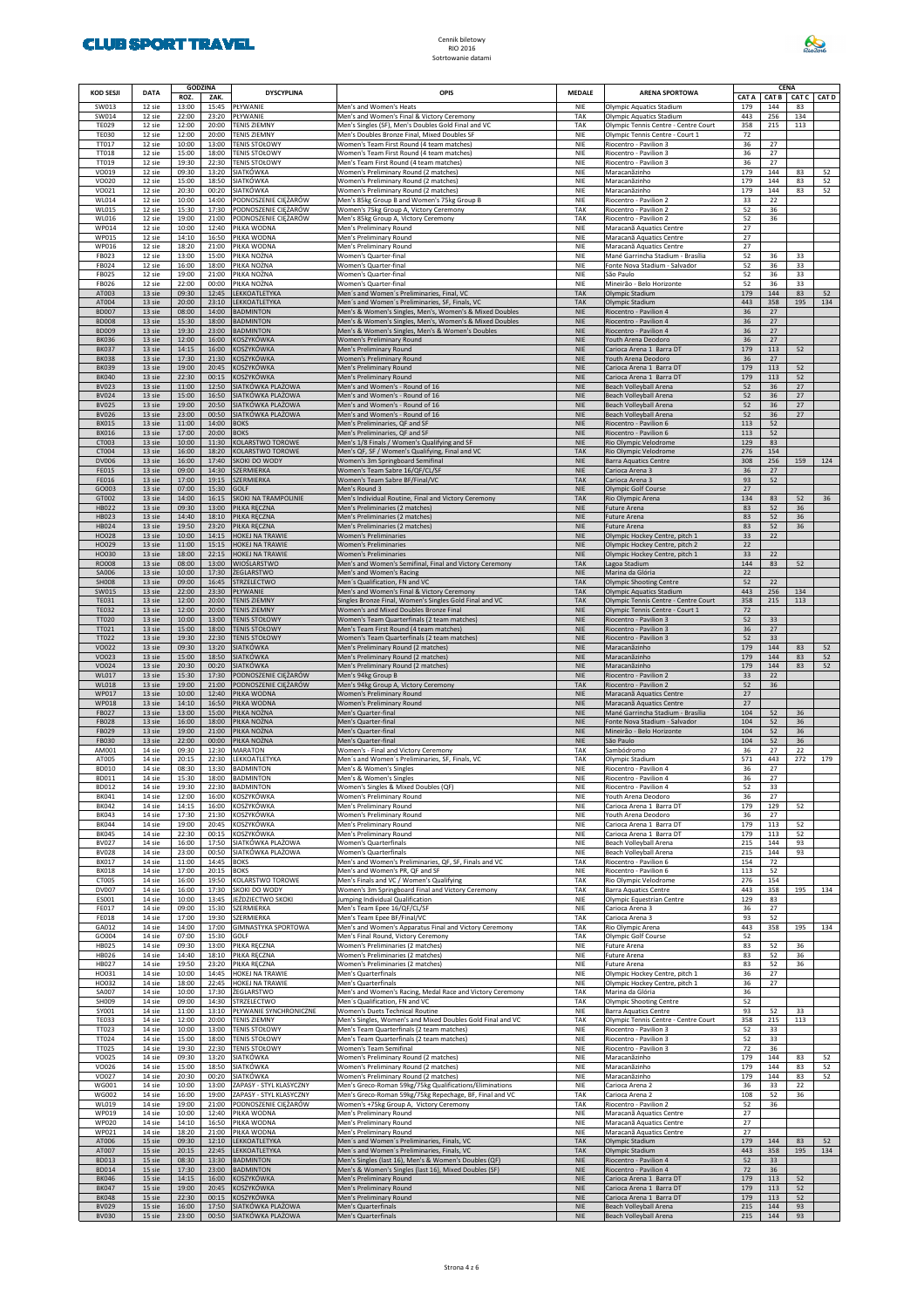

| KOD SESJI                    | <b>DATA</b>      | <b>GODZINA</b><br>ROZ. | ZAK.           | <b>DYSCYPLINA</b>                                  | OPIS                                                                                                               | <b>MEDALE</b>            | <b>ARENA SPORTOWA</b>                                                   | CAT A      | <b>CAT B</b> | CENA<br><b>CAT C</b> | <b>CAT D</b> |
|------------------------------|------------------|------------------------|----------------|----------------------------------------------------|--------------------------------------------------------------------------------------------------------------------|--------------------------|-------------------------------------------------------------------------|------------|--------------|----------------------|--------------|
| SW013                        | 12 sie           | 13:00                  | 15:45          | PŁYWANIE                                           | Men's and Women's Heats                                                                                            | <b>NIE</b>               | Olympic Aquatics Stadium                                                | 179        | 144          | 83                   |              |
| SW014<br><b>TE029</b>        | 12 sie<br>12 sie | 22:00<br>12:00         | 23:20<br>20:00 | PŁYWANIE<br><b>TENIS ZIEMNY</b>                    | Men's and Women's Final & Victory Ceremony<br>Men's Singles (SF), Men's Doubles Gold Final and VC                  | TAK<br>TAK               | Olympic Aquatics Stadium<br>Olympic Tennis Centre - Centre Court        | 443<br>358 | 256<br>215   | 134<br>113           |              |
| <b>TE030</b><br>TT017        | 12 sie<br>12 sie | 12:00<br>10:00         | 20:00<br>13:00 | <b>TENIS ZIEMNY</b><br><b>TENIS STOŁOWY</b>        | Men's Doubles Bronze Final, Mixed Doubles SF<br>Women's Team First Round (4 team matches)                          | <b>NIE</b><br>NIE        | Olympic Tennis Centre - Court 1<br>Riocentro - Pavilion 3               | 72<br>36   | 27           |                      |              |
| TT018                        | 12 sie           | 15:00                  | 18:00          | <b>TENIS STOŁOWY</b>                               | Women's Team First Round (4 team matches)                                                                          | NIE                      | Riocentro - Pavilion 3                                                  | 36         | 27           |                      |              |
| TT019<br>VO019               | 12 sie<br>12 sie | 19:30<br>09:30         | 22:30<br>13:20 | <b>TENIS STOŁOWY</b><br>SIATKÓWKA                  | Men's Team First Round (4 team matches)<br>Women's Preliminary Round (2 matches)                                   | <b>NIE</b><br>NIE        | Riocentro - Pavilion 3<br>Maracanãzinho                                 | 36<br>179  | 27<br>144    | 83                   | 52           |
| VO020<br>VO021               | 12 sie<br>12 sie | 15:00<br>20:30         | 18:50<br>00:20 | SIATKÓWKA<br>SIATKÓWKA                             | Women's Preliminary Round (2 matches)<br>Women's Preliminary Round (2 matches)                                     | <b>NIE</b><br>NIE        | Maracanãzinho<br>Maracanãzinho                                          | 179<br>179 | 144<br>144   | 83<br>83             | 52<br>52     |
| WL014<br><b>WL015</b>        | 12 sie<br>12 sie | 10:00<br>15:30         | 14:00<br>17:30 | PODNOSZENIE CIĘŻARÓW<br>PODNOSZENIE CIĘŻARÓW       | Men's 85kg Group B and Women's 75kg Group B<br>Women's 75kg Group A, Victory Ceremony                              | NIE<br>TAK               | Riocentro - Pavilion 2<br>Riocentro - Pavilion 2                        | 33<br>52   | 22<br>36     |                      |              |
| WL016<br>WP014               | 12 sie<br>12 sie | 19:00<br>10:00         | 21:00<br>12:40 | PODNOSZENIE CIĘŻARÓW<br>PIŁKA WODNA                | Men's 85kg Group A, Victory Ceremony                                                                               | TAK<br><b>NIE</b>        | Riocentro - Pavilion 2                                                  | 52<br>27   | 36           |                      |              |
| WP015                        | 12 sie           | 14:10                  | 16:50          | PIŁKA WODNA                                        | Men's Preliminary Round<br>Men's Preliminary Round                                                                 | NIE                      | Maracana Aquatics Centre<br>Maracana Aquatics Centre                    | 27         |              |                      |              |
| WP016<br>FB023               | 12 sie<br>12 sie | 18:20<br>13:00         | 21:00<br>15:00 | PIŁKA WODNA<br>PIŁKA NOŻNA                         | Men's Preliminary Round<br>Women's Quarter-final                                                                   | NIE<br><b>NIE</b>        | Maracanã Aquatics Centre<br>Mané Garrincha Stadium - Brasília           | 27<br>52   | 36           | 33                   |              |
| FB024<br><b>FB025</b>        | 12 sie<br>12 sie | 16:00<br>19:00         | 18:00<br>21:00 | PIŁKA NOŻNA<br>PIŁKA NOŻNA                         | Women's Quarter-final<br>Women's Quarter-final                                                                     | NIE<br>NIE               | Fonte Nova Stadium - Salvador<br>São Paulo                              | 52<br>52   | 36<br>36     | 33<br>33             |              |
| <b>FB026</b><br>AT003        | 12 sie<br>13 sie | 22:00<br>09:30         | 00:00<br>12:45 | PIŁKA NOŻNA<br>LEKKOATLETYKA                       | Women's Quarter-final<br>Men's and Women's Preliminaries, Final, VC                                                | NIE<br><b>TAK</b>        | Mineirão - Belo Horizonte<br>Olympic Stadium                            | 52<br>179  | 36<br>144    | 33<br>83             | 52           |
| AT004<br><b>BD007</b>        | 13 sie<br>13 sie | 20:00<br>08:00         | 23:10<br>14:00 | LEKKOATLETYKA<br><b>BADMINTON</b>                  | Men's and Women's Preliminaries, SF, Finals, VC                                                                    | <b>TAK</b><br><b>NIE</b> | Olympic Stadium                                                         | 443<br>36  | 358<br>27    | 195                  | 134          |
| <b>BD008</b>                 | 13 sie           | 15:30                  | 18:00          | <b>BADMINTON</b>                                   | Men's & Women's Singles, Men's, Women's & Mixed Doubles<br>Men's & Women's Singles, Men's, Women's & Mixed Doubles | <b>NIE</b>               | Riocentro - Pavilion 4<br>Riocentro - Pavilion 4                        | 36         | 27           |                      |              |
| <b>BD009</b><br><b>BK036</b> | 13 sie<br>13 sie | 19:30<br>12:00         | 23:00<br>16:00 | <b>BADMINTON</b><br>KOSZYKÓWKA                     | Men's & Women's Singles, Men's & Women's Doubles<br>Women's Preliminary Round                                      | <b>NIE</b><br><b>NIE</b> | Riocentro - Pavilion 4<br>Youth Arena Deodoro                           | 36<br>36   | 27<br>27     |                      |              |
| <b>BK037</b><br><b>BK038</b> | 13 sie<br>13 sie | 14:15<br>17:30         | 16:00<br>21:30 | KOSZYKÓWKA<br>KOSZYKÓWKA                           | Men's Preliminary Round<br>Women's Preliminary Round                                                               | <b>NIE</b><br><b>NIE</b> | Carioca Arena 1 Barra DT<br>Youth Arena Deodoro                         | 179<br>36  | 113<br>27    | 52                   |              |
| <b>BK039</b><br><b>BK040</b> | 13 sie<br>13 sie | 19:00<br>22:30         | 20:45<br>00:15 | KOSZYKÓWKA<br>KOSZYKÓWKA                           | Men's Preliminary Round<br>Men's Preliminary Round                                                                 | <b>NIE</b><br><b>NIE</b> | Carioca Arena 1 Barra DT<br>Carioca Arena 1 Barra DT                    | 179<br>179 | 113<br>113   | 52<br>52             |              |
| <b>BV023</b><br><b>BV024</b> | 13 sie<br>13 sie | 11:00<br>15:00         | 12:50<br>16:50 | SIATKÓWKA PLAŻOWA<br>SIATKÓWKA PLAŻOWA             | Men's and Women's - Round of 16                                                                                    | <b>NIE</b><br><b>NIE</b> | Beach Volleyball Arena                                                  | 52<br>52   | 36<br>36     | 27<br>27             |              |
| <b>BV025</b>                 | 13 sie           | 19:00                  | 20:50          | SIATKÓWKA PLAŻOWA                                  | Men's and Women's - Round of 16<br>Men's and Women's - Round of 16                                                 | <b>NIE</b>               | Beach Volleyball Arena<br>Beach Volleyball Arena                        | 52         | 36           | 27                   |              |
| <b>BV026</b><br><b>BX015</b> | 13 sie<br>13 sie | 23:00<br>11:00         | 00:50<br>14:00 | SIATKÓWKA PLAŻOWA<br><b>BOKS</b>                   | Men's and Women's - Round of 16<br>Men's Preliminaries, QF and SF                                                  | <b>NIE</b><br><b>NIE</b> | Beach Volleyball Arena<br>Riocentro - Pavilion 6                        | 52<br>113  | 36<br>52     | 27                   |              |
| <b>BX016</b><br>CT003        | 13 sie<br>13 sie | 17:00<br>10:00         | 20:00<br>11:30 | <b>BOKS</b><br>KOLARSTWO TOROWE                    | Men's Preliminaries, QF and SF<br>Men's 1/8 Finals / Women's Qualifying and SF                                     | <b>NIE</b><br><b>NIE</b> | Riocentro - Pavilion 6<br>Rio Olympic Velodrome                         | 113<br>129 | 52<br>83     |                      |              |
| CT004<br><b>DV006</b>        | 13 sie<br>13 sie | 16:00<br>16:00         | 18:20<br>17:40 | <b>KOLARSTWO TOROWE</b><br>SKOKI DO WODY           | Men's QF, SF / Women's Qualifying, Final and VC<br>Women's 3m Springboard Semifinal                                | <b>TAK</b><br><b>NIE</b> | Rio Olympic Velodrome<br><b>Barra Aquatics Centre</b>                   | 276<br>308 | 154<br>256   | 159                  | 124          |
| <b>FE015</b>                 | 13 sie           | 09:00                  | 14:30          | <b>SZERMIERKA</b>                                  | Women's Team Sabre 16/QF/CL/SF                                                                                     | <b>NIE</b>               | Carioca Arena 3                                                         | 36         | 27           |                      |              |
| <b>FE016</b><br>GO003        | 13 sie<br>13 sie | 17:00<br>07:00         | 19:15<br>15:30 | SZERMIERKA<br>GOLF                                 | Women's Team Sabre BF/Final/VC<br>Men's Round 3                                                                    | <b>TAK</b><br><b>NIE</b> | Carioca Arena 3<br>Olympic Golf Course                                  | 93<br>27   | 52           |                      |              |
| GT002<br><b>HB022</b>        | 13 sie<br>13 sie | 14:00<br>09:30         | 16:15<br>13:00 | <b>SKOKI NA TRAMPOLINIE</b><br>PIŁKA RECZNA        | Men's Individual Routine, Final and Victory Ceremony<br>Men's Preliminaries (2 matches)                            | <b>TAK</b><br><b>NIE</b> | Rio Olympic Arena<br>Future Arena                                       | 134<br>83  | 83<br>52     | 52<br>36             | 36           |
| <b>HB023</b><br><b>HB024</b> | 13 sie<br>13 sie | 14:40<br>19:50         | 18:10<br>23:20 | PIŁKA RĘCZNA<br>PIŁKA RĘCZNA                       | Men's Preliminaries (2 matches)<br>Men's Preliminaries (2 matches)                                                 | <b>NIE</b><br><b>NIE</b> | Future Arena<br>Future Arena                                            | 83<br>83   | 52<br>52     | 36<br>36             |              |
| HO028                        | 13 sie           | 10:00                  | 14:15          | HOKEJ NA TRAWIE                                    | <b>Women's Preliminaries</b>                                                                                       | <b>NIE</b>               | Olympic Hockey Centre, pitch 1                                          | 33         | 22           |                      |              |
| HO029<br>HO030               | 13 sie<br>13 sie | 11:00<br>18:00         | 15:15<br>22:15 | HOKEJ NA TRAWIE<br>HOKEJ NA TRAWIE                 | <b>Women's Preliminaries</b><br><b>Women's Preliminaries</b>                                                       | <b>NIE</b><br><b>NIE</b> | Olympic Hockey Centre, pitch 2<br>Olympic Hockey Centre, pitch 1        | 22<br>33   | 22           |                      |              |
| <b>RO008</b><br><b>SA006</b> | 13 sie<br>13 sie | 08:00<br>10:00         | 13:00<br>17:30 | WIOŚLARSTWO<br>ŻEGLARSTWO                          | Men's and Women's Semifinal, Final and Victory Ceremony<br>Men's and Women's Racing                                | <b>TAK</b><br><b>NIE</b> | Lagoa Stadium<br>Marina da Glória                                       | 144<br>22  | 83           | 52                   |              |
| <b>SH008</b><br>SW015        | 13 sie<br>13 sie | 09:00<br>22:00         | 16:45<br>23:30 | STRZELECTWO<br>PŁYWANIE                            | Men's Qualification, FN and VC<br>Men's and Women's Final & Victory Ceremony                                       | <b>TAK</b><br><b>TAK</b> | <b>Olympic Shooting Centre</b><br><b>Olympic Aquatics Stadium</b>       | 52<br>443  | 22<br>256    | 134                  |              |
| <b>TE031</b><br><b>TE032</b> | 13 sie<br>13 sie | 12:00<br>12:00         | 20:00<br>20:00 | <b>TENIS ZIEMNY</b><br><b>TENIS ZIEMNY</b>         | Singles Bronze Final, Women's Singles Gold Final and VC<br>Women's and Mixed Doubles Bronze Final                  | <b>TAK</b><br><b>NIE</b> | Olympic Tennis Centre - Centre Court<br>Olympic Tennis Centre - Court 1 | 358<br>72  | 215          | 113                  |              |
| <b>TT020</b>                 | 13 sie           | 10:00                  | 13:00          | <b>TENIS STOŁOWY</b>                               | Women's Team Quarterfinals (2 team matches)                                                                        | <b>NIE</b>               | Riocentro - Pavilion 3                                                  | 52         | 33           |                      |              |
| TT021<br>TT022               | 13 sie<br>13 sie | 15:00<br>19:30         | 18:00<br>22:30 | <b>TENIS STOŁOWY</b><br><b>TENIS STOŁOWY</b>       | Men's Team First Round (4 team matches)<br>Women's Team Quarterfinals (2 team matches)                             | <b>NIE</b><br><b>NIE</b> | Riocentro - Pavilion 3<br>Riocentro - Pavilion 3                        | 36<br>52   | 27<br>33     |                      |              |
| VO022<br>VO023               | 13 sie<br>13 sie | 09:30<br>15:00         | 13:20<br>18:50 | SIATKÓWKA<br>SIATKÓWKA                             | Men's Preliminary Round (2 matches)<br>Men's Preliminary Round (2 matches)                                         | <b>NIE</b><br><b>NIE</b> | Maracanãzinho<br>Maracanãzinho                                          | 179<br>179 | 144<br>144   | 83<br>83             | 52<br>52     |
| VO024<br>WL017               | 13 sie<br>13 sie | 20:30<br>15:30         | 00:20<br>17:30 | SIATKÓWKA<br>PODNOSZENIE CIĘŻARÓW                  | Men's Preliminary Round (2 matches)<br>Men's 94kg Group B                                                          | <b>NIE</b><br><b>NIE</b> | Maracanãzinho<br>Riocentro - Pavilion 2                                 | 179<br>33  | 144<br>22    | 83                   | 52           |
| <b>WL018</b><br>WP017        | 13 sie<br>13 sie | 19:00<br>10:00         | 21:00<br>12:40 | PODNOSZENIE CIĘŻARÓW<br>PIŁKA WODNA                | Men's 94kg Group A, Victory Ceremony<br><b>Women's Preliminary Round</b>                                           | <b>TAK</b><br><b>NIE</b> | Riocentro - Pavilion 2<br>Maracanã Aquatics Centre                      | 52<br>27   | 36           |                      |              |
| <b>WP018</b>                 | 13 sie           | 14:10                  | 16:50          | PIŁKA WODNA                                        | <b>Women's Preliminary Round</b>                                                                                   | <b>NIE</b>               | Maracanã Aquatics Centre                                                | 27         |              |                      |              |
| <b>FB027</b><br><b>FB028</b> | 13 sie<br>13 sie | 13:00<br>16:00         | 15:00<br>18:00 | PIŁKA NOŻNA<br>PIŁKA NOŻNA                         | Men's Quarter-final<br>Men's Quarter-final                                                                         | <b>NIE</b><br><b>NIE</b> | Mané Garrincha Stadium - Brasília<br>Fonte Nova Stadium - Salvador      | 104<br>104 | 52<br>52     | 36<br>36             |              |
| FB029<br>FB030               | 13 sie<br>13 sie | 19:00<br>22:00         | 21:00<br>00:00 | PIŁKA NOŻNA<br>PIŁKA NOŻNA                         | Men's Quarter-final<br>Men's Quarter-final                                                                         | <b>NIE</b><br><b>NIE</b> | Mineirão - Belo Horizonte<br>São Paulo                                  | 104<br>104 | 52<br>52     | 36<br>36             |              |
| AM001<br>AT005               | 14 sie<br>14 sie | 09:30<br>20:15         | 12:30<br>22:30 | MARATON<br>LEKKOATLETYKA                           | Women's - Final and Victory Ceremony<br>Men's and Women's Preliminaries, SF, Finals, VC                            | TAK<br>TAK               | Sambódromo<br>Olympic Stadium                                           | 36<br>571  | 27<br>443    | 22<br>272            | 179          |
| <b>BD010</b><br><b>BD011</b> | 14 sie<br>14 sie | 08:30<br>15:30         | 13:30          | <b>BADMINTON</b>                                   | Men's & Women's Singles<br>Men's & Women's Singles                                                                 | NIE<br>NIE               | Riocentro - Pavilion 4<br>Riocentro - Pavilion 4                        | 36<br>36   | 27<br>27     |                      |              |
| <b>BD012</b>                 | 14 sie           | 19:30                  | 22:30          | 18:00 BADMINTON<br><b>BADMINTON</b>                | Women's Singles & Mixed Doubles (QF)                                                                               | <b>NIE</b>               | Riocentro - Pavilion 4<br>Youth Arena Deodoro                           | 52         | 33           |                      |              |
| <b>BK041</b><br><b>BK042</b> | 14 sie<br>14 sie | 12:00<br>14:15         | 16:00<br>16:00 | KOSZYKÓWKA<br>KOSZYKÓWKA                           | Women's Preliminary Round<br>Men's Preliminary Round                                                               | NIE<br><b>NIE</b>        | Carioca Arena 1 Barra DT                                                | 36<br>179  | 27<br>129    | 52                   |              |
| <b>BK043</b><br><b>BK044</b> | 14 sie<br>14 sie | 17:30<br>19:00         | 21:30<br>20:45 | KOSZYKÓWKA<br>KOSZYKÓWKA                           | Women's Preliminary Round<br>Men's Preliminary Round                                                               | <b>NIE</b><br>NIE        | Youth Arena Deodoro<br>Carioca Arena 1 Barra DT                         | 36<br>179  | 27<br>113    | 52                   |              |
| <b>BK045</b><br><b>BV027</b> | 14 sie<br>14 sie | 22:30<br>16:00         | 00:15<br>17:50 | KOSZYKÓWKA<br>SIATKÓWKA PLAŻOWA                    | Men's Preliminary Round<br><b>Women's Quarterfinals</b>                                                            | <b>NIE</b><br>NIE        | Carioca Arena 1 Barra DT<br>Beach Volleyball Arena                      | 179<br>215 | 113<br>144   | 52<br>93             |              |
| <b>BV028</b><br><b>BX017</b> | 14 sie<br>14 sie | 23:00<br>11:00         | 00:50<br>14:45 | SIATKÓWKA PLAŻOWA<br><b>BOKS</b>                   | Women's Quarterfinals<br>Men's and Women's Preliminaries, QF, SF, Finals and VC                                    | <b>NIE</b><br>TAK        | Beach Volleyball Arena<br>Riocentro - Pavilion 6                        | 215<br>154 | 144<br>72    | 93                   |              |
| <b>BX018</b>                 | 14 sie           | 17:00                  | 20:15          | <b>BOKS</b>                                        | Men's and Women's PR, QF and SF                                                                                    | NIE                      | Riocentro - Pavilion 6                                                  | 113        | 52           |                      |              |
| CT005<br><b>DV007</b>        | 14 sie<br>14 sie | 16:00<br>16:00         | 19:50<br>17:30 | KOLARSTWO TOROWE<br>SKOKI DO WODY                  | Men's Finals and VC / Women's Qualifying<br>Women's 3m Springboard Final and Victory Ceremony                      | TAK<br>TAK               | Rio Olympic Velodrome<br><b>Barra Aquatics Centre</b>                   | 276<br>443 | 154<br>358   | 195                  | 134          |
| ES001<br>FE017               | 14 sie<br>14 sie | 10:00<br>09:00         | 13:45<br>15:30 | JEŹDZIECTWO SKOKI<br>SZERMIERKA                    | Jumping Individual Qualification<br>Men's Team Epee 16/QF/CL/SF                                                    | <b>NIE</b><br><b>NIE</b> | Olympic Equestrian Centre<br>Carioca Arena 3                            | 129<br>36  | 83<br>27     |                      |              |
| <b>FE018</b><br>GA012        | 14 sie<br>14 sie | 17:00<br>14:00         | 19:30<br>17:00 | SZERMIERKA<br>GIMNASTYKA SPORTOWA                  | Men's Team Epee BF/Final/VC<br>Men's and Women's Apparatus Final and Victory Ceremony                              | TAK<br>TAK               | Carioca Arena 3<br>Rio Olympic Arena                                    | 93<br>443  | 52<br>358    | 195                  | 134          |
| GO004<br><b>HB025</b>        | 14 sie<br>14 sie | 07:00<br>09:30         | 15:30<br>13:00 | GOLF<br>PIŁKA RĘCZNA                               | Men's Final Round, Victory Ceremony<br>Women's Preliminaries (2 matches)                                           | TAK<br>NIE               | Olympic Golf Course<br><b>Future Arena</b>                              | 52<br>83   | 52           | 36                   |              |
| <b>HB026</b><br><b>HB027</b> | 14 sie<br>14 sie | 14:40<br>19:50         | 18:10<br>23:20 | PIŁKA RĘCZNA<br>PIŁKA RECZNA                       | Women's Preliminaries (2 matches)                                                                                  | NIE<br>NIE               | Future Arena<br><b>Future Arena</b>                                     | 83<br>83   | 52           | 36<br>36             |              |
| HO031                        | 14 sie           | 10:00                  | 14:45          | <b>HOKEJ NA TRAWIE</b>                             | Women's Preliminaries (2 matches)<br>Men's Quarterfinals                                                           | NIE                      | Olympic Hockey Centre, pitch 1                                          | 36         | 52<br>27     |                      |              |
| HO032<br><b>SA007</b>        | 14 sie<br>14 sie | 18:00<br>10:00         | 22:45<br>17:30 | HOKEJ NA TRAWIE<br>ŻEGLARSTWO                      | Men's Quarterfinals<br>Men's and Women's Racing, Medal Race and Victory Ceremony                                   | NIE<br>TAK               | Olympic Hockey Centre, pitch 1<br>Marina da Glória                      | 36<br>36   | 27           |                      |              |
| SH009<br>SY001               | 14 sie<br>14 sie | 09:00<br>11:00         | 14:30<br>13:10 | STRZELECTWO<br>PŁYWANIE SYNCHRONICZNE              | Men's Qualification, FN and VC<br>Women's Duets Technical Routine                                                  | TAK<br>NIE               | <b>Olympic Shooting Centre</b><br><b>Barra Aquatics Centre</b>          | 52<br>93   | 52           | 33                   |              |
| <b>TE033</b><br>TT023        | 14 sie<br>14 sie | 12:00<br>10:00         | 20:00<br>13:00 | <b>TENIS ZIEMNY</b><br><b>TENIS STOŁOWY</b>        | Men's Singles, Women's and Mixed Doubles Gold Final and VC<br>Men's Team Quarterfinals (2 team matches)            | TAK<br>NIE               | Olympic Tennis Centre - Centre Court<br>Riocentro - Pavilion 3          | 358<br>52  | 215<br>33    | 113                  |              |
| TT024                        | 14 sie           | 15:00                  | 18:00          | <b>TENIS STOŁOWY</b>                               | Men's Team Quarterfinals (2 team matches)                                                                          | NIE                      | Riocentro - Pavilion 3                                                  | 52         | 33           |                      |              |
| TT025<br>VO025               | 14 sie<br>14 sie | 19:30<br>09:30         | 22:30<br>13:20 | <b>TENIS STOŁOWY</b><br>SIATKÓWKA                  | Women's Team Semifinal<br>Women's Preliminary Round (2 matches)                                                    | NIE<br>NIE               | Riocentro - Pavilion 3<br>Maracanãzinho                                 | 72<br>179  | 36<br>144    | 83                   | 52           |
| VO026<br>VO027               | 14 sie<br>14 sie | 15:00<br>20:30         | 18:50<br>00:20 | SIATKÓWKA<br>SIATKÓWKA                             | Women's Preliminary Round (2 matches)<br>Women's Preliminary Round (2 matches)                                     | NIE<br>NIE               | Maracanãzinho<br>Maracanãzinho                                          | 179<br>179 | 144<br>144   | 83<br>83             | 52<br>52     |
| <b>WG001</b><br><b>WG002</b> | 14 sie<br>14 sie | 10:00<br>16:00         | 13:00<br>19:00 | ZAPASY - STYL KLASYCZNY<br>ZAPASY - STYL KLASYCZNY | Men's Greco-Roman 59kg/75kg Qualifications/Eliminations<br>Men's Greco-Roman 59kg/75kg Repechage, BF, Final and VC | NIE<br>TAK               | Carioca Arena 2<br>Carioca Arena 2                                      | 36<br>108  | 33<br>52     | 22<br>36             |              |
| WL019<br>WP019               | 14 sie<br>14 sie | 19:00<br>10:00         | 21:00<br>12:40 | PODNOSZENIE CIĘŻARÓW<br>PIŁKA WODNA                | Women's +75kg Group A, Victory Ceremony<br>Men's Preliminary Round                                                 | TAK<br>NIE               | Riocentro - Pavilion 2<br>Maracana Aquatics Centre                      | 52<br>27   | 36           |                      |              |
| <b>WP020</b>                 | 14 sie           | 14:10                  | 16:50          | PIŁKA WODNA                                        | Men's Preliminary Round                                                                                            | NIE                      | Maracanã Aquatics Centre                                                | 27         |              |                      |              |
| WP021<br>AT006               | 14 sie<br>15 sie | 18:20<br>09:30         | 21:00<br>12:10 | PIŁKA WODNA<br>LEKKOATLETYKA                       | Men's Preliminary Round<br>Men's and Women's Preliminaries, Finals, VC                                             | NIE<br>TAK               | Maracana Aquatics Centre<br>Olympic Stadium                             | 27<br>179  | 144          | 83                   | 52           |
| AT007<br><b>BD013</b>        | 15 sie<br>15 sie | 20:15<br>08:30         | 22:45<br>13:30 | LEKKOATLETYKA<br>BADMINTON                         | Men's and Women's Preliminaries, Finals, VC<br>Men's Singles (last 16), Men's & Women's Doubles (QF)               | TAK<br><b>NIE</b>        | Olympic Stadium<br>Riocentro - Pavilion 4                               | 443<br>52  | 358<br>33    | 195                  | 134          |
| <b>BD014</b><br><b>BK046</b> | 15 sie<br>15 sie | 17:30<br>14:15         | 23:00<br>16:00 | BADMINTON<br>KOSZYKÓWKA                            | Men's & Women's Singles (last 16), Mixed Doubles (SF)<br>Men's Preliminary Round                                   | <b>NIE</b><br><b>NIE</b> | Riocentro - Pavilion 4<br>Carioca Arena 1 Barra DT                      | 72<br>179  | 36<br>113    | 52                   |              |
| <b>BK047</b><br><b>BK048</b> | 15 sie<br>15 sie | 19:00<br>22:30         | 20:45<br>00:15 | KOSZYKÓWKA<br>KOSZYKÓWKA                           | Men's Preliminary Round<br>Men's Preliminary Round                                                                 | <b>NIE</b><br><b>NIE</b> | Carioca Arena 1 Barra DT<br>Carioca Arena 1 Barra DT                    | 179<br>179 | 113<br>113   | 52<br>52             |              |
| <b>BV029</b>                 | 15 sie           | 16:00                  | 17:50          | SIATKÓWKA PLAŻOWA                                  | Men's Quarterfinals                                                                                                | <b>NIE</b>               | Beach Volleyball Arena                                                  | 215        | 144          | 93                   |              |
| <b>BV030</b>                 | 15 sie           | 23:00                  | 00:50          | SIATKÓWKA PLAŻOWA                                  | Men's Quarterfinals                                                                                                | <b>NIE</b>               | Beach Volleyball Arena                                                  | 215        | 144          | 93                   |              |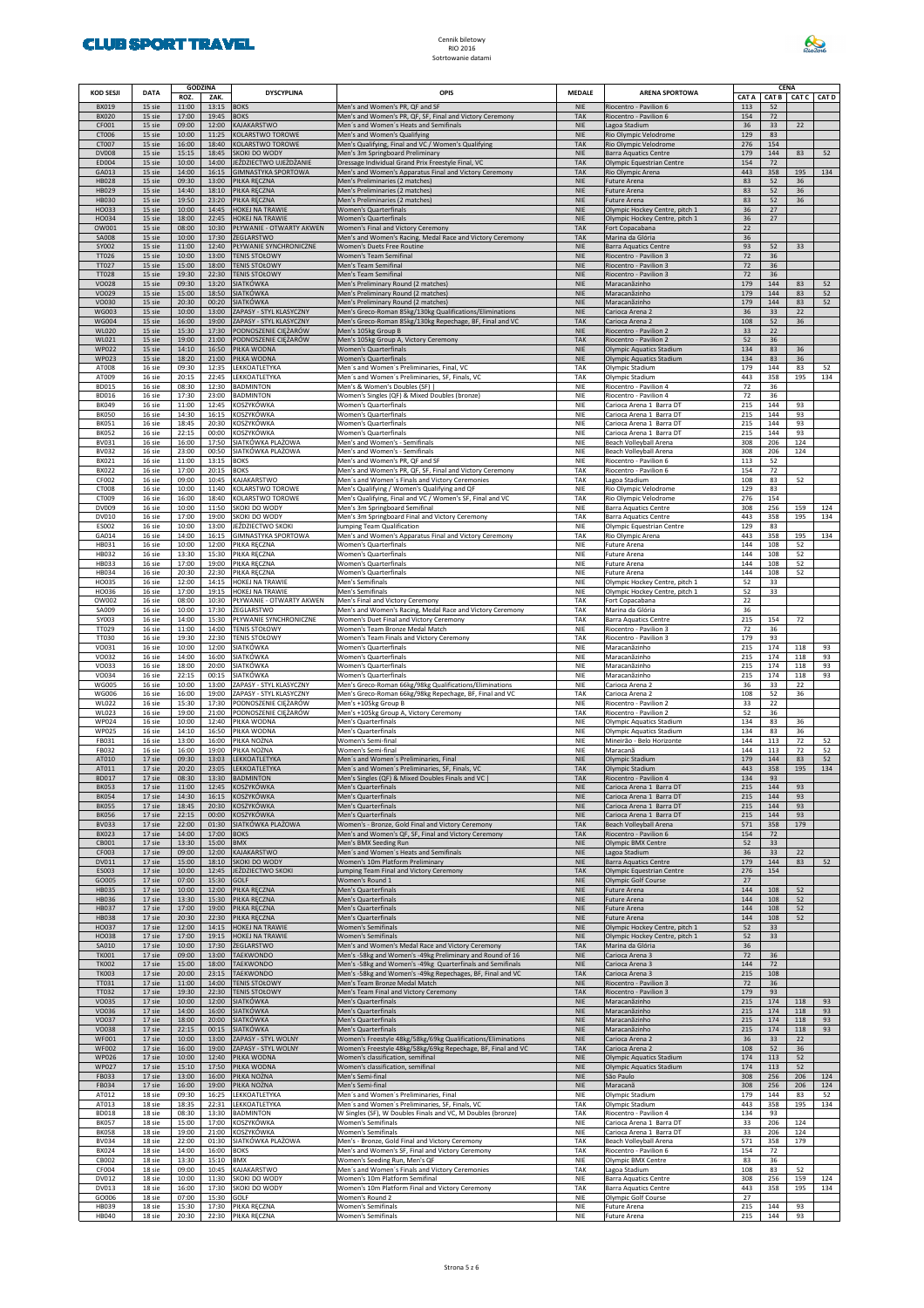

| <b>KOD SESJI</b>             | <b>DATA</b>      | <b>GODZINA</b><br>ROZ. | ZAK.                | <b>DYSCYPLINA</b>                                    | OPIS                                                                                                                    | <b>MEDALE</b>            | <b>ARENA SPORTOWA</b>                                            | CAT A      |            | CENA<br>CAT B CAT C CAT D |            |
|------------------------------|------------------|------------------------|---------------------|------------------------------------------------------|-------------------------------------------------------------------------------------------------------------------------|--------------------------|------------------------------------------------------------------|------------|------------|---------------------------|------------|
| <b>BX019</b><br><b>BX020</b> | 15 sie<br>15 sie | 11:00<br>17:00         | 13:15<br>19:45      | <b>BOKS</b><br><b>BOKS</b>                           | Men's and Women's PR, QF and SF<br>Men's and Women's PR, QF, SF, Final and Victory Ceremony                             | <b>NIE</b><br><b>TAK</b> | Riocentro - Pavilion 6<br>Riocentro - Pavilion 6                 | 113<br>154 | 52<br>72   |                           |            |
| CF001<br>CT006               | 15 sie<br>15 sie | 09:00<br>10:00         | 12:00<br>11:25      | KAJAKARSTWO<br>KOLARSTWO TOROWE                      | Men's and Women's Heats and Semifinals<br>Men's and Women's Qualifying                                                  | <b>NIE</b><br><b>NIE</b> | Lagoa Stadium<br>Rio Olympic Velodrome                           | 36<br>129  | 33<br>83   | 22                        |            |
| CT007<br><b>DV008</b>        | 15 sie<br>15 sie | 16:00<br>15:15         | 18:40<br>18:45      | KOLARSTWO TOROWE<br>SKOKI DO WODY                    | Men's Qualifying, Final and VC / Women's Qualifying<br>Men's 3m Springboard Preliminary                                 | <b>TAK</b><br><b>NIE</b> | Rio Olympic Velodrome<br><b>Barra Aquatics Centre</b>            | 276<br>179 | 154<br>144 | 83                        | 52         |
| ED004<br>GA013               | 15 sie<br>15 sie | 10:00<br>14:00         | 14:00<br>16:15      | JEŹDZIECTWO UJEŻDŻANIE<br><b>GIMNASTYKA SPORTOWA</b> | Dressage Individual Grand Prix Freestyle Final, VC<br>Men's and Women's Apparatus Final and Victory Ceremony            | <b>TAK</b><br><b>TAK</b> | Olympic Equestrian Centre<br>Rio Olympic Arena                   | 154<br>443 | 72<br>358  | 195                       | 134        |
| <b>HB028</b><br>HB029        | 15 sie<br>15 sie | 09:30<br>14:40         | 13:00<br>18:10      | PIŁKA RĘCZNA<br>PIŁKA RĘCZNA                         | Men's Preliminaries (2 matches)<br>Men's Preliminaries (2 matches)                                                      | <b>NIE</b><br><b>NIE</b> | Future Arena<br>Future Arena                                     | 83<br>83   | 52<br>52   | 36<br>36                  |            |
| <b>HB030</b>                 | 15 sie           | 19:50                  | 23:20               | PIŁKA RĘCZNA                                         | Men's Preliminaries (2 matches)                                                                                         | <b>NIE</b>               | Future Arena                                                     | 83         | 52         | 36                        |            |
| HO033<br>HO034               | 15 sie<br>15 sie | 10:00<br>18:00         | 14:45<br>22:45      | HOKEJ NA TRAWIE<br>HOKEJ NA TRAWIE                   | <b>Women's Quarterfinals</b><br><b>Women's Quarterfinals</b>                                                            | <b>NIE</b><br><b>NIE</b> | Olympic Hockey Centre, pitch 1<br>Olympic Hockey Centre, pitch 1 | 36<br>36   | 27<br>27   |                           |            |
| OW001<br><b>SA008</b>        | 15 sie<br>15 sie | 08:00<br>10:00         | 10:30<br>17:30      | PŁYWANIE - OTWARTY AKWEN<br>ŻEGLARSTWO               | Women's Final and Victory Ceremony<br>Men's and Women's Racing, Medal Race and Victory Ceremony                         | <b>TAK</b><br><b>TAK</b> | Fort Copacabana<br>Marina da Glória                              | 22<br>36   |            |                           |            |
| SY002<br>TT026               | 15 sie<br>15 sie | 11:00<br>10:00         | 12:40<br>13:00      | PŁYWANIE SYNCHRONICZNE<br><b>TENIS STOŁOWY</b>       | Women's Duets Free Routine<br>Women's Team Semifinal                                                                    | <b>NIE</b><br><b>NIE</b> | <b>Barra Aquatics Centre</b><br>Riocentro - Pavilion 3           | 93<br>72   | 52<br>36   | 33                        |            |
| TT027<br>TT028               | 15 sie<br>15 sie | 15:00<br>19:30         | 18:00<br>22:30      | <b>TENIS STOŁOWY</b><br><b>TENIS STOŁOWY</b>         | Men's Team Semifinal<br>Men's Team Semifinal                                                                            | <b>NIE</b><br><b>NIE</b> | Riocentro - Pavilion 3<br>Riocentro - Pavilion 3                 | 72<br>72   | 36<br>36   |                           |            |
| <b>VO028</b>                 | 15 sie           | 09:30                  | 13:20               | SIATKÓWKA<br><b>SIATKÓWKA</b>                        | Men's Preliminary Round (2 matches)                                                                                     | <b>NIE</b>               | Maracanãzinho                                                    | 179<br>179 | 144        | 83                        | 52         |
| VO029<br>VO030               | 15 sie<br>15 sie | 15:00<br>20:30         | 18:50<br>00:20      | <b>SIATKÓWKA</b>                                     | Men's Preliminary Round (2 matches)<br>Men's Preliminary Round (2 matches)                                              | <b>NIE</b><br><b>NIE</b> | Maracanãzinho<br>Maracanãzinho                                   | 179        | 144<br>144 | 83<br>83                  | 52<br>52   |
| WG003<br><b>WG004</b>        | 15 sie<br>15 sie | 10:00<br>16:00         | 13:00<br>19:00      | ZAPASY - STYL KLASYCZNY<br>ZAPASY - STYL KLASYCZNY   | Men's Greco-Roman 85kg/130kg Qualifications/Eliminations<br>Men's Greco-Roman 85kg/130kg Repechage, BF, Final and VC    | <b>NIE</b><br><b>TAK</b> | Carioca Arena 2<br>Carioca Arena 2                               | 36<br>108  | 33<br>52   | 22<br>36                  |            |
| <b>WL020</b><br>WL021        | 15 sie<br>15 sie | 15:30<br>19:00         | 17:30<br>21:00      | PODNOSZENIE CIĘŻARÓW<br>PODNOSZENIE CIĘŻARÓW         | Men's 105kg Group B<br>Men's 105kg Group A, Victory Ceremony                                                            | <b>NIE</b><br><b>TAK</b> | Riocentro - Pavilion 2<br>Riocentro - Pavilion 2                 | 33<br>52   | 22<br>36   |                           |            |
| <b>WP022</b><br>WP023        | 15 sie<br>15 sie | 14:10<br>18:20         | 16:50<br>21:00      | PIŁKA WODNA<br>PIŁKA WODNA                           | <b>Women's Quarterfinals</b><br>Women's Quarterfinals                                                                   | <b>NIE</b><br><b>NIE</b> | <b>Olympic Aquatics Stadium</b><br>Olympic Aquatics Stadium      | 134<br>134 | 83<br>83   | 36<br>36                  |            |
| AT008<br>AT009               | 16 sie<br>16 sie | 09:30<br>20:15         | 12:35<br>22:45      | LEKKOATLETYKA<br>LEKKOATLETYKA                       | Men's and Women's Preliminaries, Final, VC<br>Men's and Women's Preliminaries, SF, Finals, VC                           | TAK<br>TAK               | Olympic Stadium<br>Olympic Stadium                               | 179<br>443 | 144<br>358 | 83<br>195                 | 52<br>134  |
| <b>BD015</b>                 | 16 sie           | 08:30                  | 12:30               | <b>BADMINTON</b>                                     | Men's & Women's Doubles (SF)                                                                                            | NIE                      | Riocentro - Pavilion 4                                           | 72         | 36         |                           |            |
| <b>BD016</b><br><b>BK049</b> | 16 sie<br>16 sie | 17:30<br>11:00         | 23:00<br>12:45      | <b>BADMINTON</b><br>KOSZYKÓWKA                       | Women's Singles (QF) & Mixed Doubles (bronze)<br><b>Women's Quarterfinals</b>                                           | NIE<br>NIE               | Riocentro - Pavilion 4<br>Carioca Arena 1 Barra DT               | 72<br>215  | 36<br>144  | 93                        |            |
| <b>BK050</b><br><b>BK051</b> | 16 sie<br>16 sie | 14:30<br>18:45         | 16:15<br>20:30      | KOSZYKÓWKA<br>KOSZYKÓWKA                             | <b>Women's Quarterfinals</b><br><b>Women's Quarterfinals</b>                                                            | NIE<br>NIE               | Carioca Arena 1 Barra DT<br>Carioca Arena 1 Barra DT             | 215<br>215 | 144<br>144 | 93<br>93                  |            |
| <b>BK052</b><br>BV031        | 16 sie<br>16 sie | 22:15<br>16:00         | 00:00<br>17:50      | KOSZYKÓWKA<br>SIATKÓWKA PLAŻOWA                      | Women's Quarterfinals<br>Men's and Women's - Semifinals                                                                 | NIE<br>NIE               | Carioca Arena 1 Barra DT<br>Beach Volleyball Arena               | 215<br>308 | 144<br>206 | 93<br>124                 |            |
| <b>BV032</b>                 | 16 sie           | 23:00                  | 00:50               | SIATKÓWKA PLAŻOWA                                    | Men's and Women's - Semifinals                                                                                          | NIE                      | Beach Volleyball Arena                                           | 308        | 206        | 124                       |            |
| BX021<br><b>BX022</b>        | 16 sie<br>16 sie | 11:00<br>17:00         | 13:15<br>20:15      | <b>BOKS</b><br><b>BOKS</b>                           | Men's and Women's PR, QF and SF<br>Men's and Women's PR, QF, SF, Final and Victory Ceremony                             | NIE<br>TAK               | Riocentro - Pavilion 6<br>Riocentro - Pavilion 6                 | 113<br>154 | 52<br>72   |                           |            |
| CF002<br>CT008               | 16 sie<br>16 sie | 09:00<br>10:00         | 10:45<br>11:40      | KAJAKARSTWO<br>KOLARSTWO TOROWE                      | Men's and Women's Finals and Victory Ceremonies<br>Men's Qualifying / Women's Qualifying and QF                         | TAK<br>NIE               | Lagoa Stadium<br>Rio Olympic Velodrome                           | 108<br>129 | 83<br>83   | 52                        |            |
| CT009<br>DV009               | 16 sie<br>16 sie | 16:00<br>10:00         | 18:40<br>11:50      | KOLARSTWO TOROWE<br>SKOKI DO WODY                    | Men's Qualifying, Final and VC / Women's SF, Final and VC<br>Men's 3m Springboard Semifinal                             | TAK<br>NIE               | Rio Olympic Velodrome<br><b>Barra Aquatics Centre</b>            | 276<br>308 | 154<br>256 | 159                       | 124        |
| DV010                        | 16 sie           | 17:00                  | 19:00               | SKOKI DO WODY                                        | Men's 3m Springboard Final and Victory Ceremony                                                                         | TAK                      | <b>Barra Aquatics Centre</b>                                     | 443        | 358        | 195                       | 134        |
| ES002<br>GA014               | 16 sie<br>16 sie | 10:00<br>14:00         | 13:00<br>16:15      | JEŹDZIECTWO SKOKI<br>GIMNASTYKA SPORTOWA             | Jumping Team Qualification<br>Men's and Women's Apparatus Final and Victory Ceremony                                    | NIE<br>TAK               | Olympic Equestrian Centre<br>Rio Olympic Arena                   | 129<br>443 | 83<br>358  | 195                       | 134        |
| HB031<br>HB032               | 16 sie<br>16 sie | 10:00<br>13:30         | 12:00<br>15:30      | PIŁKA RĘCZNA<br>PIŁKA RĘCZNA                         | <b>Women's Quarterfinals</b><br>Women's Quarterfinals                                                                   | NIE<br>NIE               | Future Arena<br>Future Arena                                     | 144<br>144 | 108<br>108 | 52<br>52                  |            |
| HB033                        | 16 sie           | 17:00                  | 19:00               | PIŁKA RĘCZNA                                         | <b>Women's Quarterfinals</b>                                                                                            | NIE                      | Future Arena                                                     | 144        | 108        | 52                        |            |
| HB034<br>HO035               | 16 sie<br>16 sie | 20:30<br>12:00         | 22:30<br>14:15      | PIŁKA RĘCZNA<br>HOKEJ NA TRAWIE                      | <b>Women's Quarterfinals</b><br>Men's Semifinals                                                                        | NIE<br>NIE               | Future Arena<br>Olympic Hockey Centre, pitch 1                   | 144<br>52  | 108<br>33  | 52                        |            |
| HO036<br>OW002               | 16 sie<br>16 sie | 17:00<br>08:00         | 19:15<br>10:30      | HOKEJ NA TRAWIE<br>PŁYWANIE - OTWARTY AKWEN          | Men's Semifinals<br>Men's Final and Victory Ceremony                                                                    | NIE<br>TAK               | Olympic Hockey Centre, pitch 1<br>Fort Copacabana                | 52<br>22   | 33         |                           |            |
| SA009<br>SY003               | 16 sie<br>16 sie | 10:00<br>14:00         | 17:30<br>15:30      | ŻEGLARSTWO<br>PŁYWANIE SYNCHRONICZNE                 | Men's and Women's Racing, Medal Race and Victory Ceremony<br>Women's Duet Final and Victory Ceremony                    | TAK<br>TAK               | Marina da Glória<br><b>Barra Aquatics Centre</b>                 | 36<br>215  | 154        | 72                        |            |
| TT029                        | 16 sie           | 11:00                  | 14:00               | <b>TENIS STOŁOWY</b>                                 | Women's Team Bronze Medal Match                                                                                         | NIE                      | Riocentro - Pavilion 3                                           | 72         | 36         |                           |            |
| TT030<br>VO031               | 16 sie<br>16 sie | 19:30<br>10:00         | 22:30<br>12:00      | <b>TENIS STOŁOWY</b><br>SIATKÓWKA                    | Women's Team Finals and Victory Ceremony<br>Women's Quarterfinals                                                       | TAK<br>NIE               | Riocentro - Pavilion 3<br>Maracanãzinho                          | 179<br>215 | 93<br>174  | 118                       | 93         |
| VO032<br>VO033               | 16 sie<br>16 sie | 14:00<br>18:00         | 16:00<br>20:00      | SIATKÓWKA<br>SIATKÓWKA                               | <b>Women's Quarterfinals</b><br>Women's Quarterfinals                                                                   | NIE<br>NIE               | Maracanãzinho<br>Maracanãzinho                                   | 215<br>215 | 174<br>174 | 118<br>118                | 93<br>93   |
| VO034<br><b>WG005</b>        | 16 sie<br>16 sie | 22:15<br>10:00         | 00:15<br>13:00      | SIATKÓWKA<br>ZAPASY - STYL KLASYCZNY                 | Women's Quarterfinals<br>Men's Greco-Roman 66kg/98kg Qualifications/Eliminations                                        | NIE<br>NIE               | Maracanãzinho<br>Carioca Arena 2                                 | 215<br>36  | 174<br>33  | 118<br>22                 | 93         |
| <b>WG006</b>                 | 16 sie           | 16:00                  | 19:00               | ZAPASY - STYL KLASYCZNY<br>PODNOSZENIE CIĘŻARÓW      | Men's Greco-Roman 66kg/98kg Repechage, BF, Final and VC                                                                 | TAK                      | Carioca Arena 2                                                  | 108        | 52         | 36                        |            |
| <b>WL022</b><br>WL023        | 16 sie<br>16 sie | 15:30<br>19:00         | 17:30<br>21:00      | PODNOSZENIE CIĘŻARÓW                                 | Men's +105kg Group B<br>Men's +105kg Group A, Victory Ceremony                                                          | NIE<br>TAK               | Riocentro - Pavilion 2<br>Riocentro - Pavilion 2                 | 33<br>52   | 22<br>36   |                           |            |
| WP024<br><b>WP025</b>        | 16 sie<br>16 sie | 10:00<br>14:10         | 12:40<br>16:50      | PIŁKA WODNA<br>PIŁKA WODNA                           | Men's Quarterfinals<br>Men's Quarterfinals                                                                              | NIE<br>NIE               | Olympic Aquatics Stadium<br>Olympic Aquatics Stadium             | 134<br>134 | 83<br>83   | 36<br>36                  |            |
| FB031<br>FB032               | 16 sie<br>16 sie | 13:00<br>16:00         | 16:00<br>19:00      | PIŁKA NOŻNA<br>PIŁKA NOŻNA                           | Women's Semi-final<br>Women's Semi-final                                                                                | NIE<br>NIE               | Mineirão - Belo Horizonte<br>Maracanã                            | 144<br>144 | 113<br>113 | 72<br>72                  | 52<br>52   |
| AT010<br>AT011               | 17 sie<br>17 sie | 09:30<br>20:20         | 13:03<br>23:05      | LEKKOATLETYKA<br>LEKKOATLETYKA                       | Men's and Women's Preliminaries, Final<br>Men's and Women's Preliminaries, SF, Finals, VC                               | <b>NIE</b><br><b>TAK</b> | Olympic Stadium<br>Olympic Stadium                               | 179<br>443 | 144<br>358 | 83<br>195                 | 52<br>134  |
| <b>BD017</b>                 | 17 sie           | 08:30                  | 13:30               | <b>BADMINTON</b>                                     | Men's Singles (QF) & Mixed Doubles Finals and VC                                                                        | <b>TAK</b>               | Riocentro - Pavilion 4                                           | 134        | 93         |                           |            |
| <b>BK053</b><br><b>BK054</b> | 17 sie<br>17 sie | 11:00<br>14:30         | 12:45<br>16:15      | KOSZYKÓWKA<br>KOSZYKÓWKA                             | Men's Quarterfinals<br>Men's Quarterfinals                                                                              | <b>NIE</b><br><b>NIE</b> | Carioca Arena 1 Barra DT<br>Carioca Arena 1 Barra DT             | 215<br>215 | 144<br>144 | 93<br>93                  |            |
| <b>BK055</b><br><b>BK056</b> | 17 sie<br>17 sie | 18:45<br>22:15         | 20:30<br>00:00      | KOSZYKÓWKA<br>KOSZYKÓWKA                             | Men's Quarterfinals<br>Men's Quarterfinals                                                                              | <b>NIE</b><br><b>NIE</b> | Carioca Arena 1 Barra DT<br>Carioca Arena 1 Barra DT             | 215<br>215 | 144<br>144 | 93<br>93                  |            |
| <b>BV033</b><br><b>BX023</b> | 17 sie<br>17 sie | 22:00<br>14:00         | 01:30<br>17:00 BOKS | SIATKÓWKA PLAŻOWA                                    | Women's - Bronze, Gold Final and Victory Ceremony<br>Men's and Women's QF, SF, Final and Victory Ceremony               | TAK<br>TAK               | Beach Volleyball Arena<br>Riocentro - Pavilion 6                 | 571<br>154 | 358<br>72  | 179                       |            |
| CB001                        | 17 sie           | 13:30                  | 15:00 BMX           |                                                      | Men's BMX Seeding Run                                                                                                   | <b>NIE</b>               | Olympic BMX Centre                                               | 52         | 33         |                           |            |
| CF003<br>DV011               | 17 sie<br>17 sie | 09:00<br>15:00         | 12:00<br>18:10      | KAJAKARSTWO<br>SKOKI DO WODY                         | Men's and Women's Heats and Semifinals<br>Women's 10m Platform Preliminary                                              | <b>NIE</b><br><b>NIE</b> | Lagoa Stadium<br><b>Barra Aquatics Centre</b>                    | 36<br>179  | 33<br>144  | 22<br>83                  | 52         |
| ES003<br>GO005               | 17 sie<br>17 sie | 10:00<br>07:00         | 12:45<br>15:30      | JEŹDZIECTWO SKOKI<br>GOLF                            | Jumping Team Final and Victory Ceremony<br>Women's Round 1                                                              | <b>TAK</b><br><b>NIE</b> | Olympic Equestrian Centre<br>Olympic Golf Course                 | 276<br>27  | 154        |                           |            |
| <b>HB035</b><br>HB036        | 17 sie<br>17 sie | 10:00<br>13:30         | 12:00<br>15:30      | PIŁKA RĘCZNA<br>PIŁKA RĘCZNA                         | Men's Quarterfinals<br>Men's Quarterfinals                                                                              | <b>NIE</b><br><b>NIE</b> | Future Arena<br>Future Arena                                     | 144<br>144 | 108<br>108 | 52<br>52                  |            |
| <b>HB037</b>                 | 17 sie           | 17:00                  | 19:00               | PIŁKA RĘCZNA                                         | Men's Quarterfinals                                                                                                     | <b>NIE</b>               | Future Arena                                                     | 144        | 108        | 52                        |            |
| <b>HB038</b><br>HO037        | 17 sie<br>17 sie | 20:30<br>12:00         | 22:30<br>14:15      | PIŁKA RĘCZNA<br>HOKEJ NA TRAWIE                      | Men's Quarterfinals<br><b>Women's Semifinals</b>                                                                        | <b>NIE</b><br><b>NIE</b> | Future Arena<br>Olympic Hockey Centre, pitch 1                   | 144<br>52  | 108<br>33  | 52                        |            |
| HO038<br>SA010               | 17 sie<br>17 sie | 17:00<br>10:00         | 19:15<br>17:30      | HOKEJ NA TRAWIE<br>ŻEGLARSTWO                        | Women's Semifinals<br>Men's and Women's Medal Race and Victory Ceremony                                                 | <b>NIE</b><br>TAK        | Olympic Hockey Centre, pitch 1<br>Marina da Glória               | 52<br>36   | 33         |                           |            |
| <b>TK001</b><br><b>TK002</b> | 17 sie<br>17 sie | 09:00<br>15:00         | 13:00<br>18:00      | <b>TAEKWONDO</b><br><b>TAEKWONDO</b>                 | Men's -58kg and Women's -49kg Preliminary and Round of 16<br>Men's -58kg and Women's -49kg Quarterfinals and Semifinals | <b>NIE</b><br><b>NIE</b> | Carioca Arena 3<br>Carioca Arena 3                               | 72<br>144  | 36<br>72   |                           |            |
| <b>TK003</b>                 | 17 sie           | 20:00                  | 23:15               | TAEKWONDO                                            | Men's -58kg and Women's -49kg Repechages, BF, Final and VC                                                              | TAK                      | Carioca Arena 3                                                  | 215        | 108        |                           |            |
| TT031<br>TT032               | 17 sie<br>17 sie | 11:00<br>19:30         | 14:00<br>22:30      | <b>TENIS STOŁOWY</b><br><b>TENIS STOŁOWY</b>         | Men's Team Bronze Medal Match<br>Men's Team Final and Victory Ceremony                                                  | <b>NIE</b><br>TAK        | Riocentro - Pavilion 3<br>Riocentro - Pavilion 3                 | 72<br>179  | 36<br>93   |                           |            |
| VO035<br>VO036               | 17 sie<br>17 sie | 10:00<br>14:00         | 12:00<br>16:00      | <b>SIATKÓWKA</b><br><b>SIATKÓWKA</b>                 | Men's Quarterfinals<br>Men's Quarterfinals                                                                              | <b>NIE</b><br><b>NIE</b> | Maracanãzinho<br>Maracanãzinho                                   | 215<br>215 | 174<br>174 | 118<br>118                | 93<br>93   |
| VO037<br>VO038               | 17 sie<br>17 sie | 18:00<br>22:15         | 20:00<br>00:15      | <b>SIATKÓWKA</b><br><b>SIATKÓWKA</b>                 | Men's Quarterfinals<br>Men's Quarterfinals                                                                              | <b>NIE</b><br><b>NIE</b> | Maracanãzinho<br>Maracanãzinho                                   | 215<br>215 | 174<br>174 | 118<br>118                | 93<br>93   |
| <b>WF001</b>                 | 17 sie           | 10:00                  | 13:00               | ZAPASY - STYL WOLNY                                  | Women's Freestyle 48kg/58kg/69kg Qualifications/Eliminations                                                            | <b>NIE</b>               | Carioca Arena 2                                                  | 36         | 33         | 22                        |            |
| <b>WF002</b><br><b>WP026</b> | 17 sie<br>17 sie | 16:00<br>10:00         | 19:00<br>12:40      | ZAPASY - STYL WOLNY<br>PIŁKA WODNA                   | Women's Freestyle 48kg/58kg/69kg Repechage, BF, Final and VC<br>Women's classification, semifinal                       | TAK<br><b>NIE</b>        | Carioca Arena 2<br><b>Olympic Aquatics Stadium</b>               | 108<br>174 | 52<br>113  | 36<br>52                  |            |
| <b>WP027</b><br>FB033        | 17 sie<br>17 sie | 15:10<br>13:00         | 17:50<br>16:00      | PIŁKA WODNA<br>PIŁKA NOŻNA                           | Women's classification, semifinal<br>Men's Semi-final                                                                   | <b>NIE</b><br><b>NIE</b> | <b>Olympic Aquatics Stadium</b><br>São Paulo                     | 174<br>308 | 113<br>256 | 52<br>206                 | 124        |
| FB034<br>AT012               | 17 sie<br>18 sie | 16:00<br>09:30         | 19:00<br>16:25      | PIŁKA NOŻNA<br>LEKKOATLETYKA                         | Men's Semi-final<br>Men's and Women's Preliminaries, Final                                                              | <b>NIE</b><br>NIE        | Maracanã<br>Olympic Stadium                                      | 308<br>179 | 256<br>144 | 206<br>83                 | 124<br>52  |
| AT013                        | 18 sie           | 18:35                  | 22:31               | LEKKOATLETYKA                                        | Men's and Women's Preliminaries, SF, Finals, VC                                                                         | TAK                      | Olympic Stadium                                                  | 443        | 358        | 195                       | 134        |
| <b>BD018</b><br><b>BK057</b> | 18 sie<br>18 sie | 08:30<br>15:00         | 13:30<br>17:00      | <b>BADMINTON</b><br>KOSZYKÓWKA                       | W Singles (SF), W Doubles Finals and VC, M Doubles (bronze)<br>Women's Semifinals                                       | TAK<br>NIE               | Riocentro - Pavilion 4<br>Carioca Arena 1 Barra DT               | 134<br>33  | 93<br>206  | 124                       |            |
| <b>BK058</b><br><b>BV034</b> | 18 sie<br>18 sie | 19:00<br>22:00         | 21:00<br>01:30      | KOSZYKÓWKA<br>SIATKÓWKA PLAŻOWA                      | Women's Semifinals<br>Men's - Bronze, Gold Final and Victory Ceremony                                                   | NIE<br>TAK               | Carioca Arena 1 Barra DT<br>Beach Volleyball Arena               | 33<br>571  | 206<br>358 | 124<br>179                |            |
| BX024<br>CB002               | 18 sie<br>18 sie | 14:00<br>13:30         | 16:00<br>15:10      | <b>BOKS</b><br>BMX                                   | Men's and Women's SF, Final and Victory Ceremony<br>Women's Seeding Run, Men's QF                                       | TAK<br>NIE               | Riocentro - Pavilion 6<br>Olympic BMX Centre                     | 154<br>83  | 72<br>36   |                           |            |
| CF004                        | 18 sie           | 09:00                  | 10:45               | KAJAKARSTWO                                          | Men's and Women's Finals and Victory Ceremonies                                                                         | TAK                      | Lagoa Stadium                                                    | 108        | 83         | 52                        |            |
| DV012<br>DV013               | 18 sie<br>18 sie | 10:00<br>16:00         | 11:30<br>17:30      | SKOKI DO WODY<br>SKOKI DO WODY                       | Women's 10m Platform Semifinal<br>Women's 10m Platform Final and Victory Ceremony                                       | NIE<br>TAK               | <b>Barra Aquatics Centre</b><br><b>Barra Aquatics Centre</b>     | 308<br>443 | 256<br>358 | 159<br>195                | 124<br>134 |
| GO006<br>HB039               | 18 sie<br>18 sie | 07:00<br>15:30         | 15:30<br>17:30      | GOLF<br>PIŁKA RĘCZNA                                 | Women's Round 2<br>Women's Semifinals                                                                                   | NIE<br>NIE               | Olympic Golf Course<br>Future Arena                              | 27<br>215  | 144        | 93                        |            |
| <b>HB040</b>                 | 18 sie           | 20:30                  |                     | 22:30 PIŁKA RĘCZNA                                   | Women's Semifinals                                                                                                      | <b>NIE</b>               | Future Arena                                                     | 215        | 144        | 93                        |            |